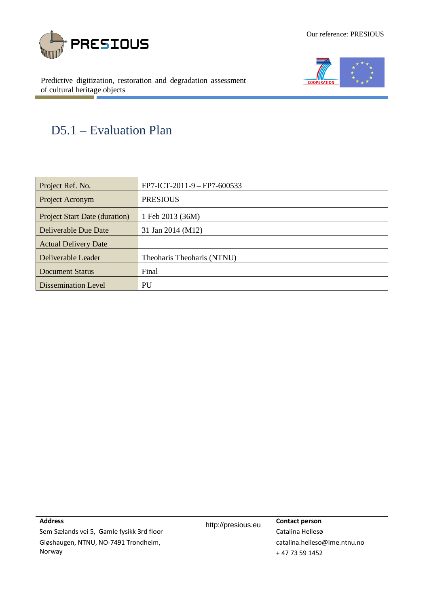



Predictive digitization, restoration and degradation assessment of cultural heritage objects

# D5.1 – Evaluation Plan

| Project Ref. No.                     | FP7-ICT-2011-9 - FP7-600533 |
|--------------------------------------|-----------------------------|
| Project Acronym                      | <b>PRESIOUS</b>             |
| <b>Project Start Date (duration)</b> | 1 Feb 2013 (36M)            |
| Deliverable Due Date                 | 31 Jan 2014 (M12)           |
| <b>Actual Delivery Date</b>          |                             |
| Deliverable Leader                   | Theoharis Theoharis (NTNU)  |
| <b>Document Status</b>               | Final                       |
| <b>Dissemination Level</b>           | PU                          |

**Address**

Sem Sælands vei 5, Gamle fysikk 3rd floor Gløshaugen, NTNU, NO-7491 Trondheim, Norway

http://presious.eu **Contact person** Catalina Hellesø [catalina.helleso@ime.ntnu.no](mailto:catalina.helleso@ime.ntnu.no) + 47 73 59 1452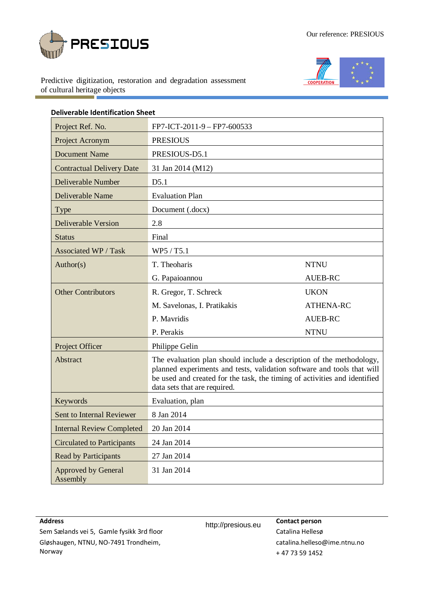



Predictive digitization, restoration and degradation assessment of cultural heritage objects

| <b>Deliverable Identification Sheet</b> |                                                                                                                                                                                                                                                             |                  |  |  |  |  |  |
|-----------------------------------------|-------------------------------------------------------------------------------------------------------------------------------------------------------------------------------------------------------------------------------------------------------------|------------------|--|--|--|--|--|
| Project Ref. No.                        | FP7-ICT-2011-9 - FP7-600533                                                                                                                                                                                                                                 |                  |  |  |  |  |  |
| Project Acronym                         | <b>PRESIOUS</b>                                                                                                                                                                                                                                             |                  |  |  |  |  |  |
| <b>Document Name</b>                    | PRESIOUS-D5.1                                                                                                                                                                                                                                               |                  |  |  |  |  |  |
| <b>Contractual Delivery Date</b>        | 31 Jan 2014 (M12)                                                                                                                                                                                                                                           |                  |  |  |  |  |  |
| Deliverable Number                      | D5.1                                                                                                                                                                                                                                                        |                  |  |  |  |  |  |
| Deliverable Name                        | <b>Evaluation Plan</b>                                                                                                                                                                                                                                      |                  |  |  |  |  |  |
| Type                                    | Document (.docx)                                                                                                                                                                                                                                            |                  |  |  |  |  |  |
| <b>Deliverable Version</b>              | 2.8                                                                                                                                                                                                                                                         |                  |  |  |  |  |  |
| <b>Status</b>                           | Final                                                                                                                                                                                                                                                       |                  |  |  |  |  |  |
| Associated WP / Task                    | WP5 / T5.1                                                                                                                                                                                                                                                  |                  |  |  |  |  |  |
| Author(s)                               | T. Theoharis                                                                                                                                                                                                                                                | <b>NTNU</b>      |  |  |  |  |  |
|                                         | G. Papaioannou<br>AUEB-RC                                                                                                                                                                                                                                   |                  |  |  |  |  |  |
| <b>Other Contributors</b>               | R. Gregor, T. Schreck                                                                                                                                                                                                                                       | <b>UKON</b>      |  |  |  |  |  |
|                                         | M. Savelonas, I. Pratikakis                                                                                                                                                                                                                                 | <b>ATHENA-RC</b> |  |  |  |  |  |
|                                         | P. Mavridis                                                                                                                                                                                                                                                 | <b>AUEB-RC</b>   |  |  |  |  |  |
|                                         | P. Perakis                                                                                                                                                                                                                                                  | <b>NTNU</b>      |  |  |  |  |  |
| Project Officer                         | Philippe Gelin                                                                                                                                                                                                                                              |                  |  |  |  |  |  |
| Abstract                                | The evaluation plan should include a description of the methodology,<br>planned experiments and tests, validation software and tools that will<br>be used and created for the task, the timing of activities and identified<br>data sets that are required. |                  |  |  |  |  |  |
| Keywords                                | Evaluation, plan                                                                                                                                                                                                                                            |                  |  |  |  |  |  |
| Sent to Internal Reviewer               | 8 Jan 2014                                                                                                                                                                                                                                                  |                  |  |  |  |  |  |
| <b>Internal Review Completed</b>        | 20 Jan 2014                                                                                                                                                                                                                                                 |                  |  |  |  |  |  |
| <b>Circulated to Participants</b>       | 24 Jan 2014                                                                                                                                                                                                                                                 |                  |  |  |  |  |  |
| <b>Read by Participants</b>             | 27 Jan 2014                                                                                                                                                                                                                                                 |                  |  |  |  |  |  |
| <b>Approved by General</b><br>Assembly  | 31 Jan 2014                                                                                                                                                                                                                                                 |                  |  |  |  |  |  |

# **Address**

http://presious.eu **Contact person** Catalina Hellesø [catalina.helleso@ime.ntnu.no](mailto:catalina.helleso@ime.ntnu.no) + 47 73 59 1452

Sem Sælands vei 5, Gamle fysikk 3rd floor Gløshaugen, NTNU, NO-7491 Trondheim, Norway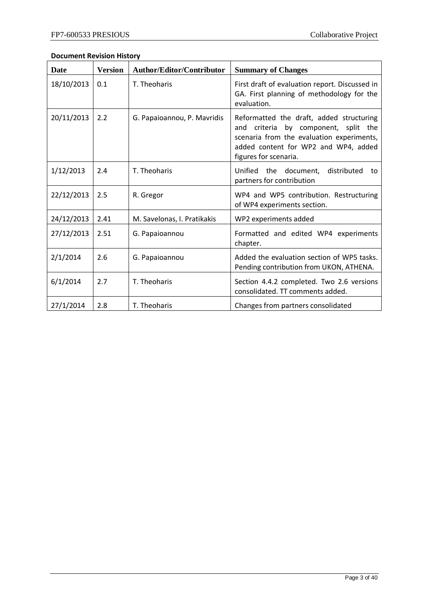# **Document Revision History**

| <b>Date</b> | <b>Version</b> | <b>Author/Editor/Contributor</b> | <b>Summary of Changes</b>                                                                                                                                                                      |
|-------------|----------------|----------------------------------|------------------------------------------------------------------------------------------------------------------------------------------------------------------------------------------------|
| 18/10/2013  | 0.1            | T. Theoharis                     | First draft of evaluation report. Discussed in<br>GA. First planning of methodology for the<br>evaluation.                                                                                     |
| 20/11/2013  | 2.2            | G. Papaioannou, P. Mavridis      | Reformatted the draft, added structuring<br>and criteria by component, split the<br>scenaria from the evaluation experiments,<br>added content for WP2 and WP4, added<br>figures for scenaria. |
| 1/12/2013   | 2.4            | T. Theoharis                     | Unified the document,<br>distributed<br>to<br>partners for contribution                                                                                                                        |
| 22/12/2013  | 2.5            | R. Gregor                        | WP4 and WP5 contribution. Restructuring<br>of WP4 experiments section.                                                                                                                         |
| 24/12/2013  | 2.41           | M. Savelonas, I. Pratikakis      | WP2 experiments added                                                                                                                                                                          |
| 27/12/2013  | 2.51           | G. Papaioannou                   | Formatted and edited WP4 experiments<br>chapter.                                                                                                                                               |
| 2/1/2014    | 2.6            | G. Papaioannou                   | Added the evaluation section of WP5 tasks.<br>Pending contribution from UKON, ATHENA.                                                                                                          |
| 6/1/2014    | 2.7            | T. Theoharis                     | Section 4.4.2 completed. Two 2.6 versions<br>consolidated. TT comments added.                                                                                                                  |
| 27/1/2014   | 2.8            | T. Theoharis                     | Changes from partners consolidated                                                                                                                                                             |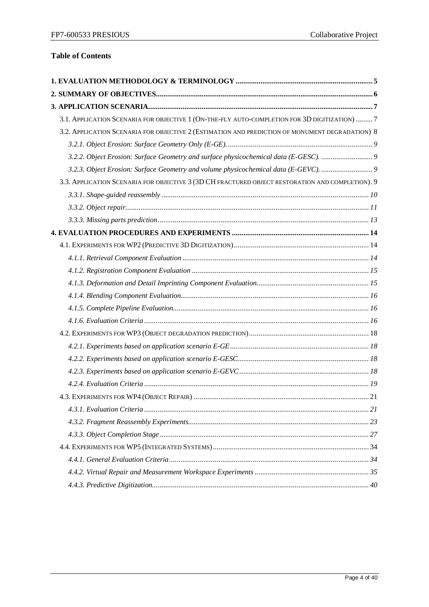# **Table of Contents**

| 3.1. APPLICATION SCENARIA FOR OBJECTIVE 1 (ON-THE-FLY AUTO-COMPLETION FOR 3D DIGITIZATION)  7    |  |
|--------------------------------------------------------------------------------------------------|--|
| 3.2. APPLICATION SCENARIA FOR OBJECTIVE 2 (ESTIMATION AND PREDICTION OF MONUMENT DEGRADATION) 8  |  |
|                                                                                                  |  |
| 3.2.2. Object Erosion: Surface Geometry and surface physicochemical data (E-GESC).               |  |
| 3.2.3. Object Erosion: Surface Geometry and volume physicochemical data (E-GEVC).                |  |
| 3.3. APPLICATION SCENARIA FOR OBJECTIVE 3 (3D CH FRACTURED OBJECT RESTORATION AND COMPLETION). 9 |  |
|                                                                                                  |  |
|                                                                                                  |  |
|                                                                                                  |  |
|                                                                                                  |  |
|                                                                                                  |  |
|                                                                                                  |  |
|                                                                                                  |  |
|                                                                                                  |  |
|                                                                                                  |  |
|                                                                                                  |  |
|                                                                                                  |  |
|                                                                                                  |  |
|                                                                                                  |  |
|                                                                                                  |  |
|                                                                                                  |  |
|                                                                                                  |  |
|                                                                                                  |  |
|                                                                                                  |  |
|                                                                                                  |  |
|                                                                                                  |  |
|                                                                                                  |  |
|                                                                                                  |  |
|                                                                                                  |  |
|                                                                                                  |  |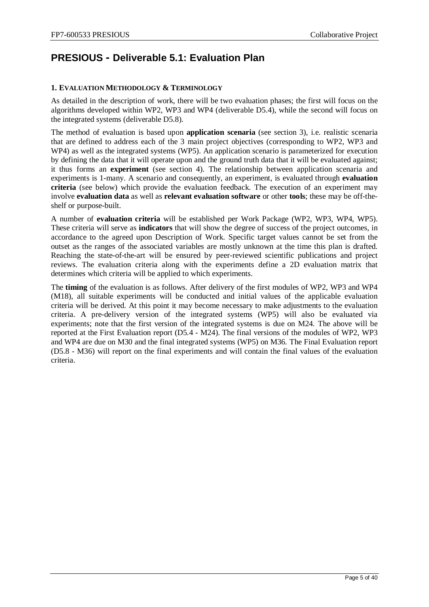# **PRESIOUS - Deliverable 5.1: Evaluation Plan**

# <span id="page-4-0"></span>**1. EVALUATION METHODOLOGY & TERMINOLOGY**

As detailed in the description of work, there will be two evaluation phases; the first will focus on the algorithms developed within WP2, WP3 and WP4 (deliverable D5.4), while the second will focus on the integrated systems (deliverable D5.8).

The method of evaluation is based upon **application scenaria** (see section 3), i.e. realistic scenaria that are defined to address each of the 3 main project objectives (corresponding to WP2, WP3 and WP4) as well as the integrated systems (WP5). An application scenario is parameterized for execution by defining the data that it will operate upon and the ground truth data that it will be evaluated against; it thus forms an **experiment** (see section 4). The relationship between application scenaria and experiments is 1-many. A scenario and consequently, an experiment, is evaluated through **evaluation criteria** (see below) which provide the evaluation feedback. The execution of an experiment may involve **evaluation data** as well as **relevant evaluation software** or other **tools**; these may be off-theshelf or purpose-built.

A number of **evaluation criteria** will be established per Work Package (WP2, WP3, WP4, WP5). These criteria will serve as **indicators** that will show the degree of success of the project outcomes, in accordance to the agreed upon Description of Work. Specific target values cannot be set from the outset as the ranges of the associated variables are mostly unknown at the time this plan is drafted. Reaching the state-of-the-art will be ensured by peer-reviewed scientific publications and project reviews. The evaluation criteria along with the experiments define a 2D evaluation matrix that determines which criteria will be applied to which experiments.

The **timing** of the evaluation is as follows. After delivery of the first modules of WP2, WP3 and WP4 (M18), all suitable experiments will be conducted and initial values of the applicable evaluation criteria will be derived. At this point it may become necessary to make adjustments to the evaluation criteria. A pre-delivery version of the integrated systems (WP5) will also be evaluated via experiments; note that the first version of the integrated systems is due on M24. The above will be reported at the First Evaluation report (D5.4 - M24). The final versions of the modules of WP2, WP3 and WP4 are due on M30 and the final integrated systems (WP5) on M36. The Final Evaluation report (D5.8 - M36) will report on the final experiments and will contain the final values of the evaluation criteria.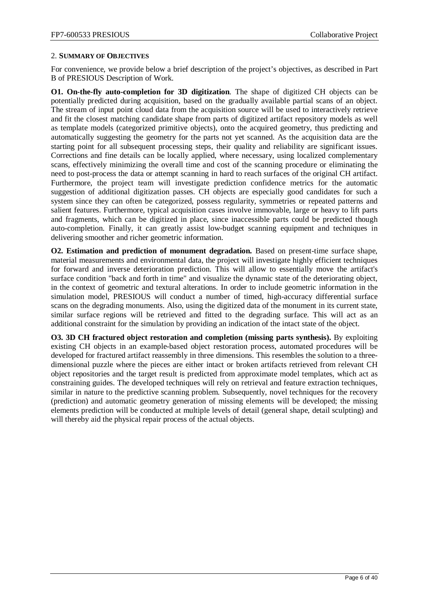#### <span id="page-5-0"></span>2. **SUMMARY OF OBJECTIVES**

For convenience, we provide below a brief description of the project's objectives, as described in Part B of PRESIOUS Description of Work.

**O1. On-the-fly auto-completion for 3D digitization**. The shape of digitized CH objects can be potentially predicted during acquisition, based on the gradually available partial scans of an object. The stream of input point cloud data from the acquisition source will be used to interactively retrieve and fit the closest matching candidate shape from parts of digitized artifact repository models as well as template models (categorized primitive objects), onto the acquired geometry, thus predicting and automatically suggesting the geometry for the parts not yet scanned. As the acquisition data are the starting point for all subsequent processing steps, their quality and reliability are significant issues. Corrections and fine details can be locally applied, where necessary, using localized complementary scans, effectively minimizing the overall time and cost of the scanning procedure or eliminating the need to post-process the data or attempt scanning in hard to reach surfaces of the original CH artifact. Furthermore, the project team will investigate prediction confidence metrics for the automatic suggestion of additional digitization passes. CH objects are especially good candidates for such a system since they can often be categorized, possess regularity, symmetries or repeated patterns and salient features. Furthermore, typical acquisition cases involve immovable, large or heavy to lift parts and fragments, which can be digitized in place, since inaccessible parts could be predicted though auto-completion. Finally, it can greatly assist low-budget scanning equipment and techniques in delivering smoother and richer geometric information.

**O2. Estimation and prediction of monument degradation.** Based on present-time surface shape, material measurements and environmental data, the project will investigate highly efficient techniques for forward and inverse deterioration prediction. This will allow to essentially move the artifact's surface condition "back and forth in time" and visualize the dynamic state of the deteriorating object, in the context of geometric and textural alterations. In order to include geometric information in the simulation model, PRESIOUS will conduct a number of timed, high-accuracy differential surface scans on the degrading monuments. Also, using the digitized data of the monument in its current state, similar surface regions will be retrieved and fitted to the degrading surface. This will act as an additional constraint for the simulation by providing an indication of the intact state of the object.

**O3. 3D CH fractured object restoration and completion (missing parts synthesis).** By exploiting existing CH objects in an example-based object restoration process, automated procedures will be developed for fractured artifact reassembly in three dimensions. This resembles the solution to a threedimensional puzzle where the pieces are either intact or broken artifacts retrieved from relevant CH object repositories and the target result is predicted from approximate model templates, which act as constraining guides. The developed techniques will rely on retrieval and feature extraction techniques, similar in nature to the predictive scanning problem. Subsequently, novel techniques for the recovery (prediction) and automatic geometry generation of missing elements will be developed; the missing elements prediction will be conducted at multiple levels of detail (general shape, detail sculpting) and will thereby aid the physical repair process of the actual objects.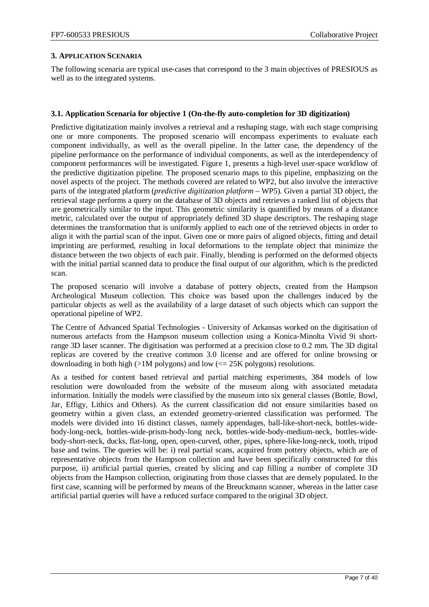#### <span id="page-6-0"></span>**3. APPLICATION SCENARIA**

The following scenaria are typical use-cases that correspond to the 3 main objectives of PRESIOUS as well as to the integrated systems.

#### <span id="page-6-1"></span>**3.1. Application Scenaria for objective 1 (On-the-fly auto-completion for 3D digitization)**

Predictive digitatization mainly involves a retrieval and a reshaping stage, with each stage comprising one or more components. The proposed scenario will encompass experiments to evaluate each component individually, as well as the overall pipeline. In the latter case, the dependency of the pipeline performance on the performance of individual components, as well as the interdependency of component performances will be investigated. [Figure 1,](#page-7-1) presents a high-level user-space workflow of the predictive digitization pipeline. The proposed scenario maps to this pipeline, emphasizing on the novel aspects of the project. The methods covered are related to WP2, but also involve the interactive parts of the integrated platform (*predictive digitization platform* – WP5). Given a partial 3D object, the retrieval stage performs a query on the database of 3D objects and retrieves a ranked list of objects that are geometrically similar to the input. This geometric similarity is quantified by means of a distance metric, calculated over the output of appropriately defined 3D shape descriptors. The reshaping stage determines the transformation that is uniformly applied to each one of the retrieved objects in order to align it with the partial scan of the input. Given one or more pairs of aligned objects, fitting and detail imprinting are performed, resulting in local deformations to the template object that minimize the distance between the two objects of each pair. Finally, blending is performed on the deformed objects with the initial partial scanned data to produce the final output of our algorithm, which is the predicted scan.

The proposed scenario will involve a database of pottery objects, created from the Hampson Archeological Museum collection. This choice was based upon the challenges induced by the particular objects as well as the availability of a large dataset of such objects which can support the operational pipeline of WP2.

The Centre of Advanced Spatial Technologies - University of Arkansas worked on the digitisation of numerous artefacts from the Hampson museum collection using a Konica-Minolta Vivid 9i shortrange 3D laser scanner. The digitisation was performed at a precision close to 0.2 mm. The 3D digital replicas are covered by the creative common 3.0 license and are offered for online browsing or downloading in both high ( $>1M$  polygons) and low ( $\leq$  25K polygons) resolutions.

As a testbed for content based retrieval and partial matching experiments, 384 models of low resolution were downloaded from the website of the museum along with associated metadata information. Initially the models were classified by the museum into six general classes (Bottle, Bowl, Jar, Effigy, Lithics and Others). As the current classification did not ensure similarities based on geometry within a given class, an extended geometry-oriented classification was performed. The models were divided into 16 distinct classes, namely appendages, ball-like-short-neck, bottles-widebody-long-neck, bottles-wide-prism-body-long neck, bottles-wide-body-medium-neck, bottles-widebody-short-neck, ducks, flat-long, open, open-curved, other, pipes, sphere-like-long-neck, tooth, tripod base and twins. The queries will be: i) real partial scans, acquired from pottery objects, which are of representative objects from the Hampson collection and have been specifically constructed for this purpose, ii) artificial partial queries, created by slicing and cap filling a number of complete 3D objects from the Hampson collection, originating from those classes that are densely populated. In the first case, scanning will be performed by means of the Breuckmann scanner, whereas in the latter case artificial partial queries will have a reduced surface compared to the original 3D object.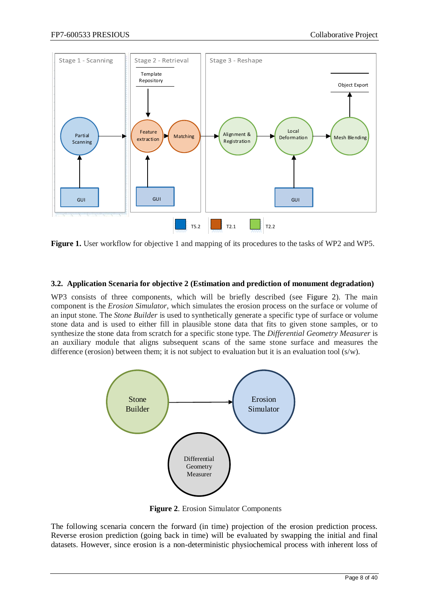

<span id="page-7-1"></span>**Figure 1.** User workflow for objective 1 and mapping of its procedures to the tasks of WP2 and WP5.

#### <span id="page-7-0"></span>**3.2. Application Scenaria for objective 2 (Estimation and prediction of monument degradation)**

WP3 consists of three components, which will be briefly described (see [Figure 2\)](#page-7-2). The main component is the *Erosion Simulator*, which simulates the erosion process on the surface or volume of an input stone. The *Stone Builder* is used to synthetically generate a specific type of surface or volume stone data and is used to either fill in plausible stone data that fits to given stone samples, or to synthesize the stone data from scratch for a specific stone type. The *Differential Geometry Measurer* is an auxiliary module that aligns subsequent scans of the same stone surface and measures the difference (erosion) between them; it is not subject to evaluation but it is an evaluation tool (s/w).



<span id="page-7-2"></span>**Figure 2**. Erosion Simulator Components

The following scenaria concern the forward (in time) projection of the erosion prediction process. Reverse erosion prediction (going back in time) will be evaluated by swapping the initial and final datasets. However, since erosion is a non-deterministic physiochemical process with inherent loss of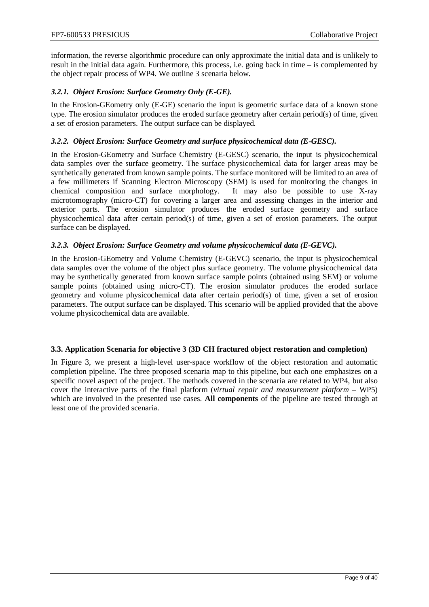information, the reverse algorithmic procedure can only approximate the initial data and is unlikely to result in the initial data again. Furthermore, this process, i.e. going back in time – is complemented by the object repair process of WP4. We outline 3 scenaria below.

# <span id="page-8-0"></span>*3.2.1. Object Erosion: Surface Geometry Only (E-GE).*

In the Erosion-GEometry only (E-GE) scenario the input is geometric surface data of a known stone type. The erosion simulator produces the eroded surface geometry after certain period(s) of time, given a set of erosion parameters. The output surface can be displayed.

# <span id="page-8-1"></span>*3.2.2. Object Erosion: Surface Geometry and surface physicochemical data (E-GESC).*

In the Erosion-GEometry and Surface Chemistry (E-GESC) scenario, the input is physicochemical data samples over the surface geometry. The surface physicochemical data for larger areas may be synthetically generated from known sample points. The surface monitored will be limited to an area of a few millimeters if Scanning Electron Microscopy (SEM) is used for monitoring the changes in chemical composition and surface morphology. It may also be possible to use X-ray microtomography (micro-CT) for covering a larger area and assessing changes in the interior and exterior parts. The erosion simulator produces the eroded surface geometry and surface physicochemical data after certain period(s) of time, given a set of erosion parameters. The output surface can be displayed.

# <span id="page-8-2"></span>*3.2.3. Object Erosion: Surface Geometry and volume physicochemical data (E-GEVC).*

In the Erosion-GEometry and Volume Chemistry (E-GEVC) scenario, the input is physicochemical data samples over the volume of the object plus surface geometry. The volume physicochemical data may be synthetically generated from known surface sample points (obtained using SEM) or volume sample points (obtained using micro-CT). The erosion simulator produces the eroded surface geometry and volume physicochemical data after certain period(s) of time, given a set of erosion parameters. The output surface can be displayed. This scenario will be applied provided that the above volume physicochemical data are available.

# <span id="page-8-3"></span>**3.3. Application Scenaria for objective 3 (3D CH fractured object restoration and completion)**

In [Figure 3,](#page-9-1) we present a high-level user-space workflow of the object restoration and automatic completion pipeline. The three proposed scenaria map to this pipeline, but each one emphasizes on a specific novel aspect of the project. The methods covered in the scenaria are related to WP4, but also cover the interactive parts of the final platform (*virtual repair and measurement platform* – WP5) which are involved in the presented use cases. **All components** of the pipeline are tested through at least one of the provided scenaria.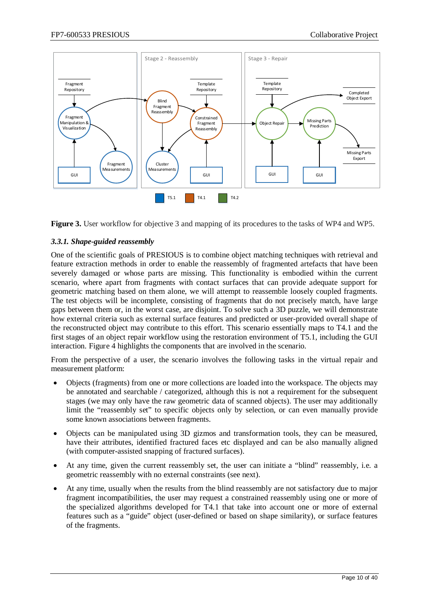

<span id="page-9-1"></span>**Figure 3.** User workflow for objective 3 and mapping of its procedures to the tasks of WP4 and WP5.

# <span id="page-9-0"></span>*3.3.1. Shape-guided reassembly*

One of the scientific goals of PRESIOUS is to combine object matching techniques with retrieval and feature extraction methods in order to enable the reassembly of fragmented artefacts that have been severely damaged or whose parts are missing. This functionality is embodied within the current scenario, where apart from fragments with contact surfaces that can provide adequate support for geometric matching based on them alone, we will attempt to reassemble loosely coupled fragments. The test objects will be incomplete, consisting of fragments that do not precisely match, have large gaps between them or, in the worst case, are disjoint. To solve such a 3D puzzle, we will demonstrate how external criteria such as external surface features and predicted or user-provided overall shape of the reconstructed object may contribute to this effort. This scenario essentially maps to T4.1 and the first stages of an object repair workflow using the restoration environment of T5.1, including the GUI interaction. [Figure 4](#page-10-1) highlights the components that are involved in the scenario.

From the perspective of a user, the scenario involves the following tasks in the virtual repair and measurement platform:

- Objects (fragments) from one or more collections are loaded into the workspace. The objects may be annotated and searchable / categorized, although this is not a requirement for the subsequent stages (we may only have the raw geometric data of scanned objects). The user may additionally limit the "reassembly set" to specific objects only by selection, or can even manually provide some known associations between fragments.
- Objects can be manipulated using 3D gizmos and transformation tools, they can be measured, have their attributes, identified fractured faces etc displayed and can be also manually aligned (with computer-assisted snapping of fractured surfaces).
- At any time, given the current reassembly set, the user can initiate a "blind" reassembly, i.e. a geometric reassembly with no external constraints (see next).
- At any time, usually when the results from the blind reassembly are not satisfactory due to major fragment incompatibilities, the user may request a constrained reassembly using one or more of the specialized algorithms developed for T4.1 that take into account one or more of external features such as a "guide" object (user-defined or based on shape similarity), or surface features of the fragments.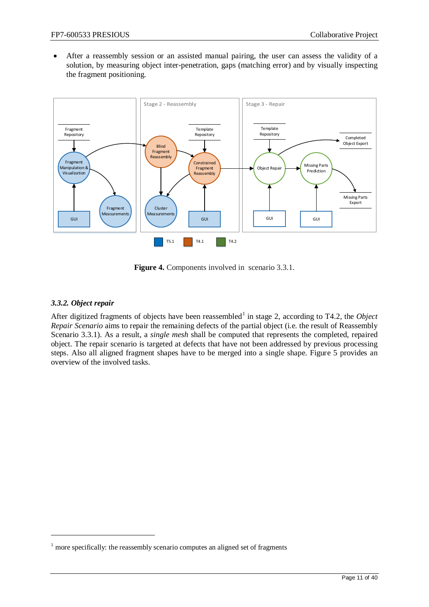• After a reassembly session or an assisted manual pairing, the user can assess the validity of a solution, by measuring object inter-penetration, gaps (matching error) and by visually inspecting the fragment positioning.



**Figure 4.** Components involved in scenario [3.3.1.](#page-9-0)

# <span id="page-10-1"></span><span id="page-10-0"></span>*3.3.2. Object repair*

 $\overline{a}$ 

After digitized fragments of objects have been reassembled<sup>[1](#page-10-2)</sup> in stage 2, according to T4.2, the *Object* Scenario 3.3.1). As a result, a *single mesh* shall be computed that represents the completed, repaired *Repair Scenario* aims to repair the remaining defects of the partial object (i.e. the result of Reassembly object. The repair scenario is targeted at defects that have not been addressed by previous processing steps. Also all aligned fragment shapes have to be merged into a single shape. [Figure 5](#page-11-0) provides an overview of the involved tasks.

<span id="page-10-2"></span> $1$  more specifically: the reassembly scenario computes an aligned set of fragments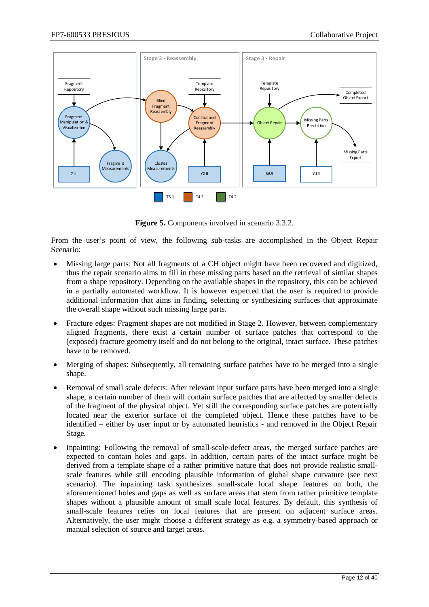

**Figure 5.** Components involved in scenario [3.3.2.](#page-10-0)

<span id="page-11-0"></span>From the user's point of view, the following sub-tasks are accomplished in the Object Repair Scenario:

- Missing large parts: Not all fragments of a CH object might have been recovered and digitized, thus the repair scenario aims to fill in these missing parts based on the retrieval of similar shapes from a shape repository. Depending on the available shapes in the repository, this can be achieved in a partially automated workflow. It is however expected that the user is required to provide additional information that aims in finding, selecting or synthesizing surfaces that approximate the overall shape without such missing large parts.
- Fracture edges: Fragment shapes are not modified in Stage 2. However, between complementary aligned fragments, there exist a certain number of surface patches that correspond to the (exposed) fracture geometry itself and do not belong to the original, intact surface. These patches have to be removed.
- Merging of shapes: Subsequently, all remaining surface patches have to be merged into a single shape.
- Removal of small scale defects: After relevant input surface parts have been merged into a single shape, a certain number of them will contain surface patches that are affected by smaller defects of the fragment of the physical object. Yet still the corresponding surface patches are potentially located near the exterior surface of the completed object. Hence these patches have to be identified – either by user input or by automated heuristics - and removed in the Object Repair Stage.
- Inpainting: Following the removal of small-scale-defect areas, the merged surface patches are expected to contain holes and gaps. In addition, certain parts of the intact surface might be derived from a template shape of a rather primitive nature that does not provide realistic smallscale features while still encoding plausible information of global shape curvature (see next scenario). The inpainting task synthesizes small-scale local shape features on both, the aforementioned holes and gaps as well as surface areas that stem from rather primitive template shapes without a plausible amount of small scale local features. By default, this synthesis of small-scale features relies on local features that are present on adjacent surface areas. Alternatively, the user might choose a different strategy as e.g. a symmetry-based approach or manual selection of source and target areas.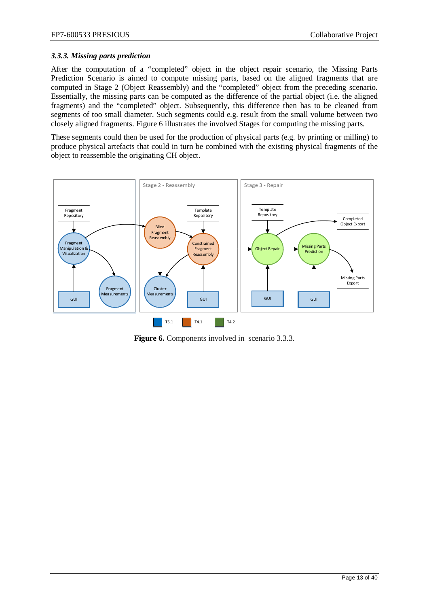# <span id="page-12-0"></span>*3.3.3. Missing parts prediction*

After the computation of a "completed" object in the object repair scenario, the Missing Parts Prediction Scenario is aimed to compute missing parts, based on the aligned fragments that are computed in Stage 2 (Object Reassembly) and the "completed" object from the preceding scenario. Essentially, the missing parts can be computed as the difference of the partial object (i.e. the aligned fragments) and the "completed" object. Subsequently, this difference then has to be cleaned from segments of too small diameter. Such segments could e.g. result from the small volume between two closely aligned fragments. [Figure 6](#page-12-1) illustrates the involved Stages for computing the missing parts.

These segments could then be used for the production of physical parts (e.g. by printing or milling) to produce physical artefacts that could in turn be combined with the existing physical fragments of the object to reassemble the originating CH object.



<span id="page-12-1"></span>**Figure 6.** Components involved in scenario [3.3.3.](#page-12-0)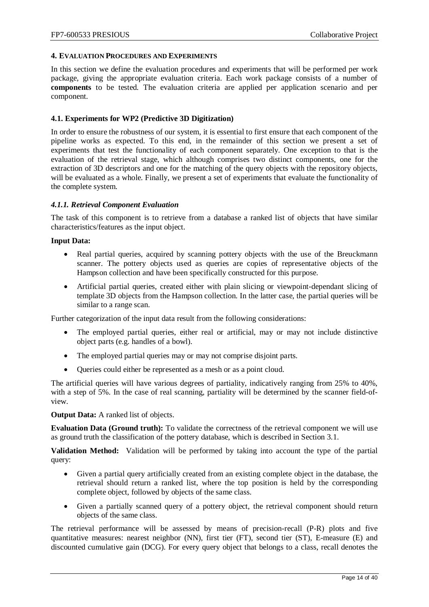#### <span id="page-13-0"></span>**4. EVALUATION PROCEDURES AND EXPERIMENTS**

In this section we define the evaluation procedures and experiments that will be performed per work package, giving the appropriate evaluation criteria. Each work package consists of a number of **components** to be tested. The evaluation criteria are applied per application scenario and per component.

#### <span id="page-13-1"></span>**4.1. Experiments for WP2 (Predictive 3D Digitization)**

In order to ensure the robustness of our system, it is essential to first ensure that each component of the pipeline works as expected. To this end, in the remainder of this section we present a set of experiments that test the functionality of each component separately. One exception to that is the evaluation of the retrieval stage, which although comprises two distinct components, one for the extraction of 3D descriptors and one for the matching of the query objects with the repository objects, will be evaluated as a whole. Finally, we present a set of experiments that evaluate the functionality of the complete system.

#### <span id="page-13-2"></span>*4.1.1. Retrieval Component Evaluation*

The task of this component is to retrieve from a database a ranked list of objects that have similar characteristics/features as the input object.

#### **Input Data:**

- Real partial queries, acquired by scanning pottery objects with the use of the Breuckmann scanner. The pottery objects used as queries are copies of representative objects of the Hampson collection and have been specifically constructed for this purpose.
- Artificial partial queries, created either with plain slicing or viewpoint-dependant slicing of template 3D objects from the Hampson collection. In the latter case, the partial queries will be similar to a range scan.

Further categorization of the input data result from the following considerations:

- The employed partial queries, either real or artificial, may or may not include distinctive object parts (e.g. handles of a bowl).
- The employed partial queries may or may not comprise disjoint parts.
- Queries could either be represented as a mesh or as a point cloud.

The artificial queries will have various degrees of partiality, indicatively ranging from 25% to 40%, with a step of 5%. In the case of real scanning, partiality will be determined by the scanner field-ofview.

#### **Output Data:** A ranked list of objects.

**Evaluation Data (Ground truth):** To validate the correctness of the retrieval component we will use as ground truth the classification of the pottery database, which is described in Section 3.1.

**Validation Method:** Validation will be performed by taking into account the type of the partial query:

- Given a partial query artificially created from an existing complete object in the database, the retrieval should return a ranked list, where the top position is held by the corresponding complete object, followed by objects of the same class.
- Given a partially scanned query of a pottery object, the retrieval component should return objects of the same class.

The retrieval performance will be assessed by means of precision-recall (P-R) plots and five quantitative measures: nearest neighbor (NN), first tier (FT), second tier (ST), E-measure (E) and discounted cumulative gain (DCG). For every query object that belongs to a class, recall denotes the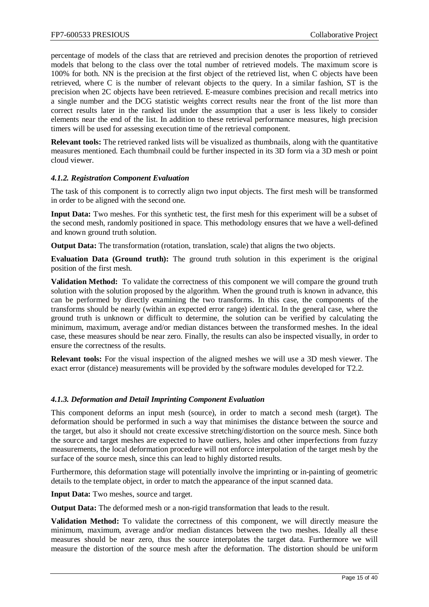percentage of models of the class that are retrieved and precision denotes the proportion of retrieved models that belong to the class over the total number of retrieved models. The maximum score is 100% for both. NN is the precision at the first object of the retrieved list, when C objects have been retrieved, where C is the number of relevant objects to the query. In a similar fashion, ST is the precision when 2C objects have been retrieved. E-measure combines precision and recall metrics into a single number and the DCG statistic weights correct results near the front of the list more than correct results later in the ranked list under the assumption that a user is less likely to consider elements near the end of the list. In addition to these retrieval performance measures, high precision timers will be used for assessing execution time of the retrieval component.

**Relevant tools:** The retrieved ranked lists will be visualized as thumbnails, along with the quantitative measures mentioned. Each thumbnail could be further inspected in its 3D form via a 3D mesh or point cloud viewer.

# <span id="page-14-0"></span>*4.1.2. Registration Component Evaluation*

The task of this component is to correctly align two input objects. The first mesh will be transformed in order to be aligned with the second one.

**Input Data:** Two meshes. For this synthetic test, the first mesh for this experiment will be a subset of the second mesh, randomly positioned in space. This methodology ensures that we have a well-defined and known ground truth solution.

**Output Data:** The transformation (rotation, translation, scale) that aligns the two objects.

**Evaluation Data (Ground truth):** The ground truth solution in this experiment is the original position of the first mesh.

**Validation Method:** To validate the correctness of this component we will compare the ground truth solution with the solution proposed by the algorithm. When the ground truth is known in advance, this can be performed by directly examining the two transforms. In this case, the components of the transforms should be nearly (within an expected error range) identical. In the general case, where the ground truth is unknown or difficult to determine, the solution can be verified by calculating the minimum, maximum, average and/or median distances between the transformed meshes. In the ideal case, these measures should be near zero. Finally, the results can also be inspected visually, in order to ensure the correctness of the results.

**Relevant tools:** For the visual inspection of the aligned meshes we will use a 3D mesh viewer. The exact error (distance) measurements will be provided by the software modules developed for T2.2.

#### <span id="page-14-1"></span>*4.1.3. Deformation and Detail Imprinting Component Evaluation*

This component deforms an input mesh (source), in order to match a second mesh (target). The deformation should be performed in such a way that minimises the distance between the source and the target, but also it should not create excessive stretching/distortion on the source mesh. Since both the source and target meshes are expected to have outliers, holes and other imperfections from fuzzy measurements, the local deformation procedure will not enforce interpolation of the target mesh by the surface of the source mesh, since this can lead to highly distorted results.

Furthermore, this deformation stage will potentially involve the imprinting or in-painting of geometric details to the template object, in order to match the appearance of the input scanned data.

**Input Data:** Two meshes, source and target.

**Output Data:** The deformed mesh or a non-rigid transformation that leads to the result.

**Validation Method:** To validate the correctness of this component, we will directly measure the minimum, maximum, average and/or median distances between the two meshes. Ideally all these measures should be near zero, thus the source interpolates the target data. Furthermore we will measure the distortion of the source mesh after the deformation. The distortion should be uniform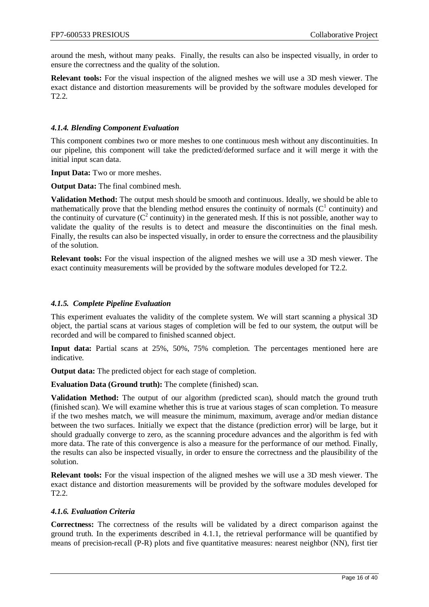around the mesh, without many peaks. Finally, the results can also be inspected visually, in order to ensure the correctness and the quality of the solution.

**Relevant tools:** For the visual inspection of the aligned meshes we will use a 3D mesh viewer. The exact distance and distortion measurements will be provided by the software modules developed for T2.2.

# <span id="page-15-0"></span>*4.1.4. Blending Component Evaluation*

This component combines two or more meshes to one continuous mesh without any discontinuities. In our pipeline, this component will take the predicted/deformed surface and it will merge it with the initial input scan data.

**Input Data:** Two or more meshes.

**Output Data:** The final combined mesh.

**Validation Method:** The output mesh should be smooth and continuous. Ideally, we should be able to mathematically prove that the blending method ensures the continuity of normals  $(C<sup>1</sup>$  continuity) and the continuity of curvature  $(C^2$  continuity) in the generated mesh. If this is not possible, another way to validate the quality of the results is to detect and measure the discontinuities on the final mesh. Finally, the results can also be inspected visually, in order to ensure the correctness and the plausibility of the solution.

**Relevant tools:** For the visual inspection of the aligned meshes we will use a 3D mesh viewer. The exact continuity measurements will be provided by the software modules developed for T2.2.

#### <span id="page-15-1"></span>*4.1.5. Complete Pipeline Evaluation*

This experiment evaluates the validity of the complete system. We will start scanning a physical 3D object, the partial scans at various stages of completion will be fed to our system, the output will be recorded and will be compared to finished scanned object.

**Input data:** Partial scans at 25%, 50%, 75% completion. The percentages mentioned here are indicative.

**Output data:** The predicted object for each stage of completion.

**Evaluation Data (Ground truth):** The complete (finished) scan.

**Validation Method:** The output of our algorithm (predicted scan), should match the ground truth (finished scan). We will examine whether this is true at various stages of scan completion. To measure if the two meshes match, we will measure the minimum, maximum, average and/or median distance between the two surfaces. Initially we expect that the distance (prediction error) will be large, but it should gradually converge to zero, as the scanning procedure advances and the algorithm is fed with more data. The rate of this convergence is also a measure for the performance of our method. Finally, the results can also be inspected visually, in order to ensure the correctness and the plausibility of the solution.

**Relevant tools:** For the visual inspection of the aligned meshes we will use a 3D mesh viewer. The exact distance and distortion measurements will be provided by the software modules developed for T2.2.

#### <span id="page-15-2"></span>*4.1.6. Evaluation Criteria*

**Correctness:** The correctness of the results will be validated by a direct comparison against the ground truth. In the experiments described in 4.1.1, the retrieval performance will be quantified by means of precision-recall (P-R) plots and five quantitative measures: nearest neighbor (NN), first tier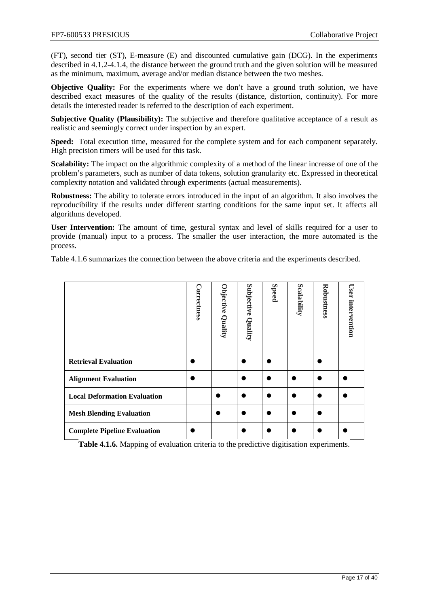(FT), second tier (ST), E-measure (E) and discounted cumulative gain (DCG). In the experiments described in 4.1.2-4.1.4, the distance between the ground truth and the given solution will be measured as the minimum, maximum, average and/or median distance between the two meshes.

**Objective Quality:** For the experiments where we don't have a ground truth solution, we have described exact measures of the quality of the results (distance, distortion, continuity). For more details the interested reader is referred to the description of each experiment.

**Subjective Quality (Plausibility):** The subjective and therefore qualitative acceptance of a result as realistic and seemingly correct under inspection by an expert.

**Speed:** Total execution time, measured for the complete system and for each component separately. High precision timers will be used for this task.

**Scalability:** The impact on the algorithmic complexity of a method of the linear increase of one of the problem's parameters, such as number of data tokens, solution granularity etc. Expressed in theoretical complexity notation and validated through experiments (actual measurements).

**Robustness:** The ability to tolerate errors introduced in the input of an algorithm. It also involves the reproducibility if the results under different starting conditions for the same input set. It affects all algorithms developed.

**User Intervention:** The amount of time, gestural syntax and level of skills required for a user to provide (manual) input to a process. The smaller the user interaction, the more automated is the process.

Table 4.1.6 summarizes the connection between the above criteria and the experiments described.

|                                     | Correctness | Objective<br>Quality | Subjective Quality | <b>Speed</b> | Scalability | Robustness | User intervention |
|-------------------------------------|-------------|----------------------|--------------------|--------------|-------------|------------|-------------------|
| <b>Retrieval Evaluation</b>         |             |                      |                    |              |             |            |                   |
| <b>Alignment Evaluation</b>         |             |                      |                    |              |             |            |                   |
| <b>Local Deformation Evaluation</b> |             |                      |                    |              |             |            |                   |
| <b>Mesh Blending Evaluation</b>     |             |                      |                    |              |             |            |                   |
| <b>Complete Pipeline Evaluation</b> |             |                      |                    |              |             |            |                   |

**Table 4.1.6.** Mapping of evaluation criteria to the predictive digitisation experiments.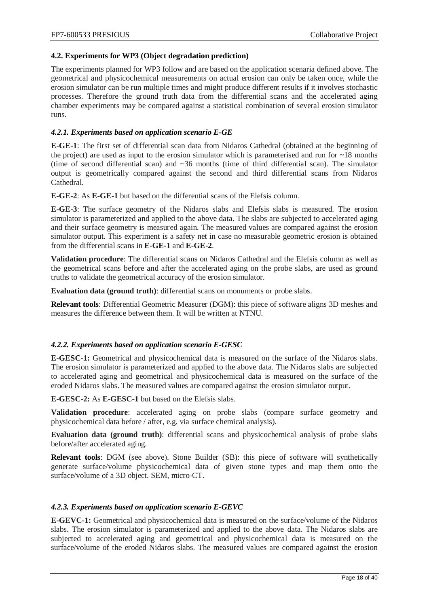# <span id="page-17-0"></span>**4.2. Experiments for WP3 (Object degradation prediction)**

The experiments planned for WP3 follow and are based on the application scenaria defined above. The geometrical and physicochemical measurements on actual erosion can only be taken once, while the erosion simulator can be run multiple times and might produce different results if it involves stochastic processes. Therefore the ground truth data from the differential scans and the accelerated aging chamber experiments may be compared against a statistical combination of several erosion simulator runs.

# <span id="page-17-1"></span>*4.2.1. Experiments based on application scenario E-GE*

**E-GE-1**: The first set of differential scan data from Nidaros Cathedral (obtained at the beginning of the project) are used as input to the erosion simulator which is parameterised and run for  $\sim$ 18 months (time of second differential scan) and ~36 months (time of third differential scan). The simulator output is geometrically compared against the second and third differential scans from Nidaros Cathedral.

**E-GE-2**: As **E-GE-1** but based on the differential scans of the Elefsis column.

**E-GE-3**: The surface geometry of the Nidaros slabs and Elefsis slabs is measured. The erosion simulator is parameterized and applied to the above data. The slabs are subjected to accelerated aging and their surface geometry is measured again. The measured values are compared against the erosion simulator output. This experiment is a safety net in case no measurable geometric erosion is obtained from the differential scans in **E-GE-1** and **E-GE-2**.

**Validation procedure**: The differential scans on Nidaros Cathedral and the Elefsis column as well as the geometrical scans before and after the accelerated aging on the probe slabs, are used as ground truths to validate the geometrical accuracy of the erosion simulator.

**Evaluation data (ground truth)**: differential scans on monuments or probe slabs.

**Relevant tools**: Differential Geometric Measurer (DGM): this piece of software aligns 3D meshes and measures the difference between them. It will be written at NTNU.

#### <span id="page-17-2"></span>*4.2.2. Experiments based on application scenario E-GESC*

**E-GESC-1:** Geometrical and physicochemical data is measured on the surface of the Nidaros slabs. The erosion simulator is parameterized and applied to the above data. The Nidaros slabs are subjected to accelerated aging and geometrical and physicochemical data is measured on the surface of the eroded Nidaros slabs. The measured values are compared against the erosion simulator output.

**E-GESC-2:** As **E-GESC-1** but based on the Elefsis slabs.

**Validation procedure**: accelerated aging on probe slabs (compare surface geometry and physicochemical data before / after, e.g. via surface chemical analysis).

**Evaluation data (ground truth)**: differential scans and physicochemical analysis of probe slabs before/after accelerated aging.

**Relevant tools**: DGM (see above). Stone Builder (SB): this piece of software will synthetically generate surface/volume physicochemical data of given stone types and map them onto the surface/volume of a 3D object. SEM, micro-CT.

#### <span id="page-17-3"></span>*4.2.3. Experiments based on application scenario E-GEVC*

**E-GEVC-1:** Geometrical and physicochemical data is measured on the surface/volume of the Nidaros slabs. The erosion simulator is parameterized and applied to the above data. The Nidaros slabs are subjected to accelerated aging and geometrical and physicochemical data is measured on the surface/volume of the eroded Nidaros slabs. The measured values are compared against the erosion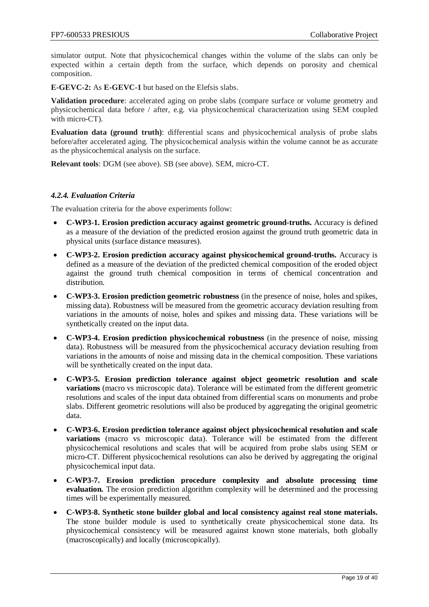simulator output. Note that physicochemical changes within the volume of the slabs can only be expected within a certain depth from the surface, which depends on porosity and chemical composition.

**E-GEVC-2:** As **E-GEVC-1** but based on the Elefsis slabs.

**Validation procedure**: accelerated aging on probe slabs (compare surface or volume geometry and physicochemical data before / after, e.g. via physicochemical characterization using SEM coupled with micro-CT).

**Evaluation data (ground truth)**: differential scans and physicochemical analysis of probe slabs before/after accelerated aging. The physicochemical analysis within the volume cannot be as accurate as the physicochemical analysis on the surface.

**Relevant tools**: DGM (see above). SB (see above). SEM, micro-CT.

# <span id="page-18-0"></span>*4.2.4. Evaluation Criteria*

The evaluation criteria for the above experiments follow:

- **C-WP3-1. Erosion prediction accuracy against geometric ground-truths.** Accuracy is defined as a measure of the deviation of the predicted erosion against the ground truth geometric data in physical units (surface distance measures).
- **C-WP3-2. Erosion prediction accuracy against physicochemical ground-truths.** Accuracy is defined as a measure of the deviation of the predicted chemical composition of the eroded object against the ground truth chemical composition in terms of chemical concentration and distribution.
- **C-WP3-3. Erosion prediction geometric robustness** (in the presence of noise, holes and spikes, missing data). Robustness will be measured from the geometric accuracy deviation resulting from variations in the amounts of noise, holes and spikes and missing data. These variations will be synthetically created on the input data.
- **C-WP3-4. Erosion prediction physicochemical robustness** (in the presence of noise, missing data). Robustness will be measured from the physicochemical accuracy deviation resulting from variations in the amounts of noise and missing data in the chemical composition. These variations will be synthetically created on the input data.
- **C-WP3-5. Erosion prediction tolerance against object geometric resolution and scale variations** (macro vs microscopic data). Tolerance will be estimated from the different geometric resolutions and scales of the input data obtained from differential scans on monuments and probe slabs. Different geometric resolutions will also be produced by aggregating the original geometric data.
- **C-WP3-6. Erosion prediction tolerance against object physicochemical resolution and scale variations** (macro vs microscopic data). Tolerance will be estimated from the different physicochemical resolutions and scales that will be acquired from probe slabs using SEM or micro-CT. Different physicochemical resolutions can also be derived by aggregating the original physicochemical input data.
- **C-WP3-7. Erosion prediction procedure complexity and absolute processing time evaluation.** The erosion prediction algorithm complexity will be determined and the processing times will be experimentally measured.
- **C-WP3-8. Synthetic stone builder global and local consistency against real stone materials.** The stone builder module is used to synthetically create physicochemical stone data. Its physicochemical consistency will be measured against known stone materials, both globally (macroscopically) and locally (microscopically).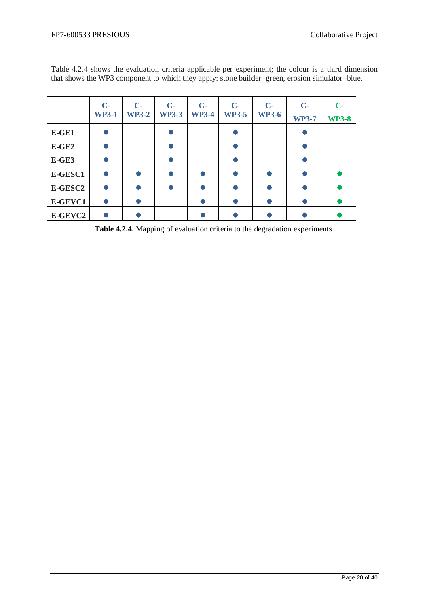|         | $\mathbf{C}$<br><b>WP3-1</b> | $C -$<br><b>WP3-2</b> | $C -$<br><b>WP3-3</b> | $C-$<br><b>WP3-4</b> | $\mathbf{C}$<br><b>WP3-5</b> | $\mathbf{C}$<br><b>WP3-6</b> | $C -$<br><b>WP3-7</b> | $\mathbf{C}$<br><b>WP3-8</b> |
|---------|------------------------------|-----------------------|-----------------------|----------------------|------------------------------|------------------------------|-----------------------|------------------------------|
| E-GE1   |                              |                       |                       |                      |                              |                              |                       |                              |
| $E-GE2$ |                              |                       |                       |                      |                              |                              |                       |                              |
| $E-GE3$ |                              |                       |                       |                      |                              |                              |                       |                              |
| E-GESC1 |                              |                       |                       |                      |                              |                              |                       |                              |
| E-GESC2 |                              |                       |                       |                      |                              |                              |                       |                              |
| E-GEVC1 |                              |                       |                       |                      |                              |                              |                       |                              |
| E-GEVC2 |                              |                       |                       |                      |                              |                              |                       |                              |

Table 4.2.4 shows the evaluation criteria applicable per experiment; the colour is a third dimension that shows the WP3 component to which they apply: stone builder=green, erosion simulator=blue.

**Table 4.2.4.** Mapping of evaluation criteria to the degradation experiments.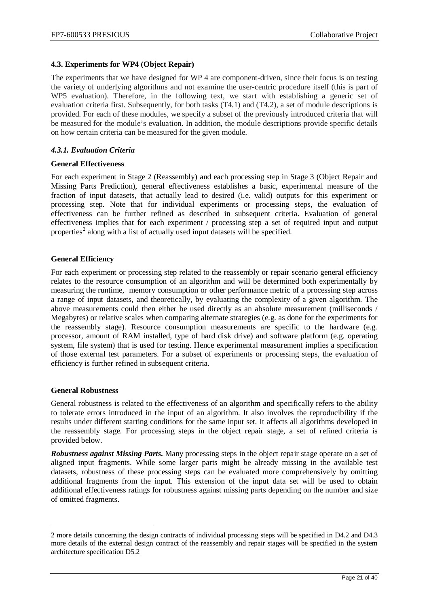# <span id="page-20-0"></span>**4.3. Experiments for WP4 (Object Repair)**

The experiments that we have designed for WP 4 are component-driven, since their focus is on testing the variety of underlying algorithms and not examine the user-centric procedure itself (this is part of WP5 evaluation). Therefore, in the following text, we start with establishing a generic set of evaluation criteria first. Subsequently, for both tasks (T4.1) and (T4.2), a set of module descriptions is provided. For each of these modules, we specify a subset of the previously introduced criteria that will be measured for the module's evaluation. In addition, the module descriptions provide specific details on how certain criteria can be measured for the given module.

# <span id="page-20-1"></span>*4.3.1. Evaluation Criteria*

# **General Effectiveness**

For each experiment in Stage 2 (Reassembly) and each processing step in Stage 3 (Object Repair and Missing Parts Prediction), general effectiveness establishes a basic, experimental measure of the fraction of input datasets, that actually lead to desired (i.e. valid) outputs for this experiment or processing step. Note that for individual experiments or processing steps, the evaluation of effectiveness can be further refined as described in subsequent criteria. Evaluation of general effectiveness implies that for each experiment / processing step a set of required input and output properties<sup>[2](#page-20-2)</sup> along with a list of actually used input datasets will be specified.

# **General Efficiency**

For each experiment or processing step related to the reassembly or repair scenario general efficiency relates to the resource consumption of an algorithm and will be determined both experimentally by measuring the runtime, memory consumption or other performance metric of a processing step across a range of input datasets, and theoretically, by evaluating the complexity of a given algorithm. The above measurements could then either be used directly as an absolute measurement (milliseconds / Megabytes) or relative scales when comparing alternate strategies (e.g. as done for the experiments for the reassembly stage). Resource consumption measurements are specific to the hardware (e.g. processor, amount of RAM installed, type of hard disk drive) and software platform (e.g. operating system, file system) that is used for testing. Hence experimental measurement implies a specification of those external test parameters. For a subset of experiments or processing steps, the evaluation of efficiency is further refined in subsequent criteria.

#### **General Robustness**

 $\ddot{\phantom{a}}$ 

General robustness is related to the effectiveness of an algorithm and specifically refers to the ability to tolerate errors introduced in the input of an algorithm. It also involves the reproducibility if the results under different starting conditions for the same input set. It affects all algorithms developed in the reassembly stage. For processing steps in the object repair stage, a set of refined criteria is provided below.

*Robustness against Missing Parts.* Many processing steps in the object repair stage operate on a set of aligned input fragments. While some larger parts might be already missing in the available test datasets, robustness of these processing steps can be evaluated more comprehensively by omitting additional fragments from the input. This extension of the input data set will be used to obtain additional effectiveness ratings for robustness against missing parts depending on the number and size of omitted fragments.

<span id="page-20-2"></span><sup>2</sup> more details concerning the design contracts of individual processing steps will be specified in D4.2 and D4.3 more details of the external design contract of the reassembly and repair stages will be specified in the system architecture specification D5.2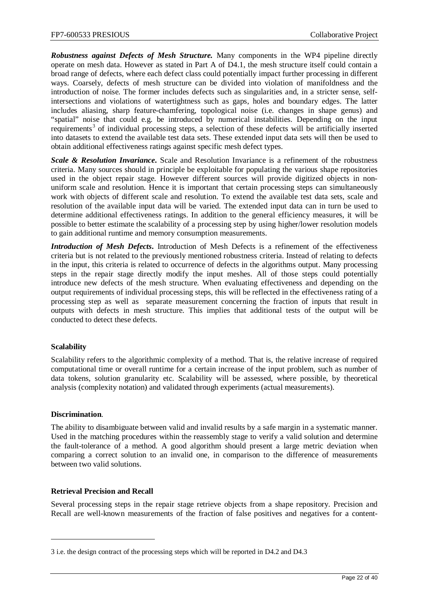*Robustness against Defects of Mesh Structure.* Many components in the WP4 pipeline directly operate on mesh data. However as stated in Part A of D4.1, the mesh structure itself could contain a broad range of defects, where each defect class could potentially impact further processing in different ways. Coarsely, defects of mesh structure can be divided into violation of manifoldness and the introduction of noise. The former includes defects such as singularities and, in a stricter sense, selfintersections and violations of watertightness such as gaps, holes and boundary edges. The latter includes aliasing, sharp feature-chamfering, topological noise (i.e. changes in shape genus) and "spatial" noise that could e.g. be introduced by numerical instabilities. Depending on the input requirements<sup>[3](#page-21-0)</sup> of individual processing steps, a selection of these defects will be artificially inserted into datasets to extend the available test data sets. These extended input data sets will then be used to obtain additional effectiveness ratings against specific mesh defect types.

**Scale & Resolution Invariance.** Scale and Resolution Invariance is a refinement of the robustness criteria. Many sources should in principle be exploitable for populating the various shape repositories used in the object repair stage. However different sources will provide digitized objects in nonuniform scale and resolution. Hence it is important that certain processing steps can simultaneously work with objects of different scale and resolution. To extend the available test data sets, scale and resolution of the available input data will be varied. The extended input data can in turn be used to determine additional effectiveness ratings. In addition to the general efficiency measures, it will be possible to better estimate the scalability of a processing step by using higher/lower resolution models to gain additional runtime and memory consumption measurements.

*Introduction of Mesh Defects***.** Introduction of Mesh Defects is a refinement of the effectiveness criteria but is not related to the previously mentioned robustness criteria. Instead of relating to defects in the input, this criteria is related to occurrence of defects in the algorithms output. Many processing steps in the repair stage directly modify the input meshes. All of those steps could potentially introduce new defects of the mesh structure. When evaluating effectiveness and depending on the output requirements of individual processing steps, this will be reflected in the effectiveness rating of a processing step as well as separate measurement concerning the fraction of inputs that result in outputs with defects in mesh structure. This implies that additional tests of the output will be conducted to detect these defects.

#### **Scalability**

Scalability refers to the algorithmic complexity of a method. That is, the relative increase of required computational time or overall runtime for a certain increase of the input problem, such as number of data tokens, solution granularity etc. Scalability will be assessed, where possible, by theoretical analysis (complexity notation) and validated through experiments (actual measurements).

#### **Discrimination**.

 $\overline{a}$ 

The ability to disambiguate between valid and invalid results by a safe margin in a systematic manner. Used in the matching procedures within the reassembly stage to verify a valid solution and determine the fault-tolerance of a method. A good algorithm should present a large metric deviation when comparing a correct solution to an invalid one, in comparison to the difference of measurements between two valid solutions.

#### **Retrieval Precision and Recall**

Several processing steps in the repair stage retrieve objects from a shape repository. Precision and Recall are well-known measurements of the fraction of false positives and negatives for a content-

<span id="page-21-0"></span><sup>3</sup> i.e. the design contract of the processing steps which will be reported in D4.2 and D4.3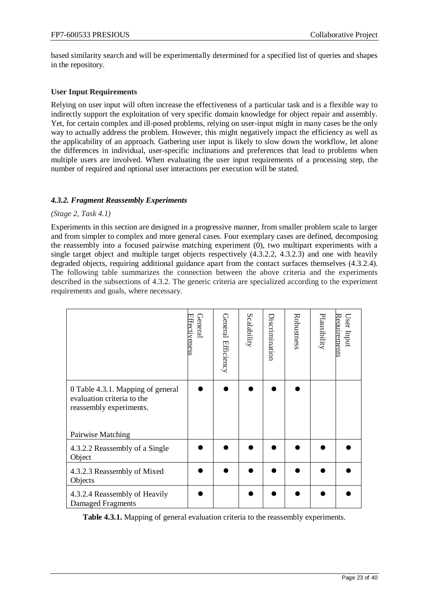based similarity search and will be experimentally determined for a specified list of queries and shapes in the repository.

# **User Input Requirements**

Relying on user input will often increase the effectiveness of a particular task and is a flexible way to indirectly support the exploitation of very specific domain knowledge for object repair and assembly. Yet, for certain complex and ill-posed problems, relying on user-input might in many cases be the only way to actually address the problem. However, this might negatively impact the efficiency as well as the applicability of an approach. Gathering user input is likely to slow down the workflow, let alone the differences in individual, user-specific inclinations and preferences that lead to problems when multiple users are involved. When evaluating the user input requirements of a processing step, the number of required and optional user interactions per execution will be stated.

# <span id="page-22-0"></span>*4.3.2. Fragment Reassembly Experiments*

# *(Stage 2, Task 4.1)*

Experiments in this section are designed in a progressive manner, from smaller problem scale to larger and from simpler to complex and more general cases. Four exemplary cases are defined, decomposing the reassembly into a focused pairwise matching experiment [\(0\)](#page-22-1), two multipart experiments with a single target object and multiple target objects respectively [\(4.3.2.2,](#page-24-0) [4.3.2.3\)](#page-25-0) and one with heavily degraded objects, requiring additional guidance apart from the contact surfaces themselves [\(4.3.2.4\)](#page-25-1). The following table summarizes the connection between the above criteria and the experiments described in the subsections of [4.3.2.](#page-22-0) The generic criteria are specialized according to the experiment requirements and goals, where necessary.

|                                                                                                                 | General<br>Effectiveness | General Efficiency | Scalability | Discrimination | Robustness | Plausibility | Requirements<br>User Input |
|-----------------------------------------------------------------------------------------------------------------|--------------------------|--------------------|-------------|----------------|------------|--------------|----------------------------|
| 0 Table 4.3.1. Mapping of general<br>evaluation criteria to the<br>reassembly experiments.<br>Pairwise Matching |                          |                    |             |                |            |              |                            |
| 4.3.2.2 Reassembly of a Single<br>Object                                                                        |                          |                    |             |                |            |              |                            |
| 4.3.2.3 Reassembly of Mixed<br>Objects                                                                          |                          |                    |             |                |            |              |                            |
| 4.3.2.4 Reassembly of Heavily<br>Damaged Fragments                                                              |                          |                    |             |                |            |              |                            |

<span id="page-22-1"></span>**Table 4.3.1.** Mapping of general evaluation criteria to the reassembly experiments.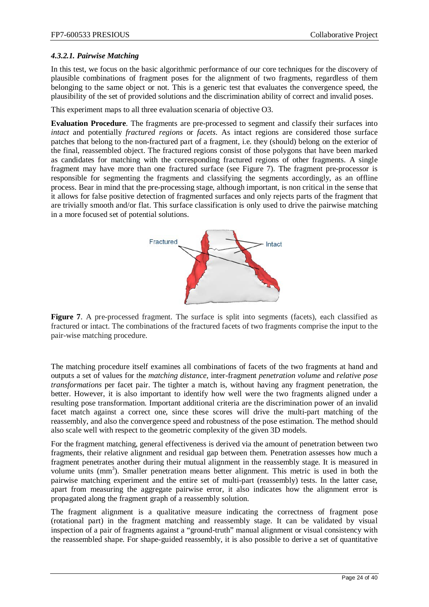# *4.3.2.1. Pairwise Matching*

In this test, we focus on the basic algorithmic performance of our core techniques for the discovery of plausible combinations of fragment poses for the alignment of two fragments, regardless of them belonging to the same object or not. This is a generic test that evaluates the convergence speed, the plausibility of the set of provided solutions and the discrimination ability of correct and invalid poses.

This experiment maps to all three evaluation scenaria of objective O3.

**Evaluation Procedure**. The fragments are pre-processed to segment and classify their surfaces into *intact* and potentially *fractured regions* or *facets*. As intact regions are considered those surface patches that belong to the non-fractured part of a fragment, i.e. they (should) belong on the exterior of the final, reassembled object. The fractured regions consist of those polygons that have been marked as candidates for matching with the corresponding fractured regions of other fragments. A single fragment may have more than one fractured surface (see [Figure 7\)](#page-23-0). The fragment pre-processor is responsible for segmenting the fragments and classifying the segments accordingly, as an offline process. Bear in mind that the pre-processing stage, although important, is non critical in the sense that it allows for false positive detection of fragmented surfaces and only rejects parts of the fragment that are trivially smooth and/or flat. This surface classification is only used to drive the pairwise matching in a more focused set of potential solutions.



<span id="page-23-0"></span>Figure 7. A pre-processed fragment. The surface is split into segments (facets), each classified as fractured or intact. The combinations of the fractured facets of two fragments comprise the input to the pair-wise matching procedure.

The matching procedure itself examines all combinations of facets of the two fragments at hand and outputs a set of values for the *matching distance*, inter-fragment *penetration volume* and *relative pose transformations* per facet pair. The tighter a match is, without having any fragment penetration, the better. However, it is also important to identify how well were the two fragments aligned under a resulting pose transformation. Important additional criteria are the discrimination power of an invalid facet match against a correct one, since these scores will drive the multi-part matching of the reassembly, and also the convergence speed and robustness of the pose estimation. The method should also scale well with respect to the geometric complexity of the given 3D models.

For the fragment matching, general effectiveness is derived via the amount of penetration between two fragments, their relative alignment and residual gap between them. Penetration assesses how much a fragment penetrates another during their mutual alignment in the reassembly stage. It is measured in volume units (mm<sup>3</sup>). Smaller penetration means better alignment. This metric is used in both the pairwise matching experiment and the entire set of multi-part (reassembly) tests. In the latter case, apart from measuring the aggregate pairwise error, it also indicates how the alignment error is propagated along the fragment graph of a reassembly solution.

The fragment alignment is a qualitative measure indicating the correctness of fragment pose (rotational part) in the fragment matching and reassembly stage. It can be validated by visual inspection of a pair of fragments against a "ground-truth" manual alignment or visual consistency with the reassembled shape. For shape-guided reassembly, it is also possible to derive a set of quantitative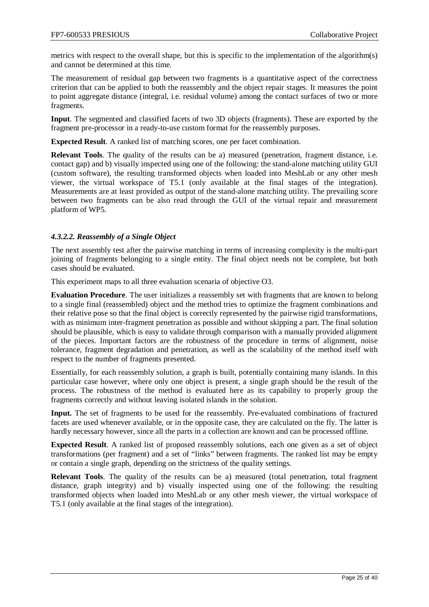metrics with respect to the overall shape, but this is specific to the implementation of the algorithm(s) and cannot be determined at this time.

The measurement of residual gap between two fragments is a quantitative aspect of the correctness criterion that can be applied to both the reassembly and the object repair stages. It measures the point to point aggregate distance (integral, i.e. residual volume) among the contact surfaces of two or more fragments.

**Input**. The segmented and classified facets of two 3D objects (fragments). These are exported by the fragment pre-processor in a ready-to-use custom format for the reassembly purposes.

**Expected Result**. A ranked list of matching scores, one per facet combination.

**Relevant Tools**. The quality of the results can be a) measured (penetration, fragment distance, i.e. contact gap) and b) visually inspected using one of the following: the stand-alone matching utility GUI (custom software), the resulting transformed objects when loaded into MeshLab or any other mesh viewer, the virtual workspace of T5.1 (only available at the final stages of the integration). Measurements are at least provided as output of the stand-alone matching utility. The prevailing score between two fragments can be also read through the GUI of the virtual repair and measurement platform of WP5*.*

# <span id="page-24-0"></span>*4.3.2.2. Reassembly of a Single Object*

The next assembly test after the pairwise matching in terms of increasing complexity is the multi-part joining of fragments belonging to a single entity. The final object needs not be complete, but both cases should be evaluated.

This experiment maps to all three evaluation scenaria of objective O3.

**Evaluation Procedure**. The user initializes a reassembly set with fragments that are known to belong to a single final (reassembled) object and the method tries to optimize the fragment combinations and their relative pose so that the final object is correctly represented by the pairwise rigid transformations, with as minimum inter-fragment penetration as possible and without skipping a part. The final solution should be plausible, which is easy to validate through comparison with a manually provided alignment of the pieces. Important factors are the robustness of the procedure in terms of alignment, noise tolerance, fragment degradation and penetration, as well as the scalability of the method itself with respect to the number of fragments presented.

Essentially, for each reassembly solution, a graph is built, potentially containing many islands. In this particular case however, where only one object is present, a single graph should be the result of the process. The robustness of the method is evaluated here as its capability to properly group the fragments correctly and without leaving isolated islands in the solution.

**Input.** The set of fragments to be used for the reassembly. Pre-evaluated combinations of fractured facets are used whenever available, or in the opposite case, they are calculated on the fly. The latter is hardly necessary however, since all the parts in a collection are known and can be processed offline.

**Expected Result**. A ranked list of proposed reassembly solutions, each one given as a set of object transformations (per fragment) and a set of "links" between fragments. The ranked list may be empty or contain a single graph, depending on the strictness of the quality settings.

**Relevant Tools**. The quality of the results can be a) measured (total penetration, total fragment distance, graph integrity) and b) visually inspected using one of the following: the resulting transformed objects when loaded into MeshLab or any other mesh viewer, the virtual workspace of T5.1 (only available at the final stages of the integration).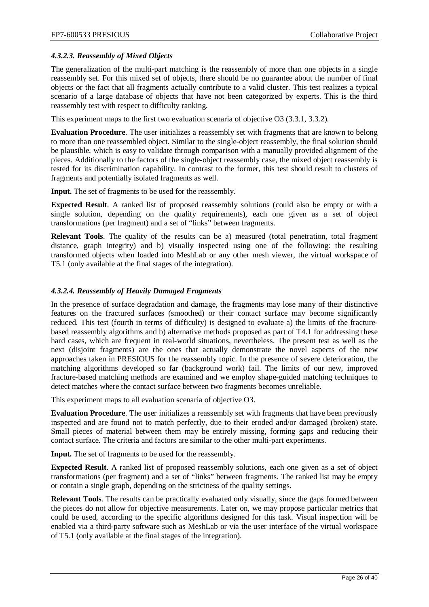# <span id="page-25-0"></span>*4.3.2.3. Reassembly of Mixed Objects*

The generalization of the multi-part matching is the reassembly of more than one objects in a single reassembly set. For this mixed set of objects, there should be no guarantee about the number of final objects or the fact that all fragments actually contribute to a valid cluster. This test realizes a typical scenario of a large database of objects that have not been categorized by experts. This is the third reassembly test with respect to difficulty ranking.

This experiment maps to the first two evaluation scenaria of objective O3 [\(3.3.1,](#page-9-0) [3.3.2\)](#page-10-0).

**Evaluation Procedure**. The user initializes a reassembly set with fragments that are known to belong to more than one reassembled object. Similar to the single-object reassembly, the final solution should be plausible, which is easy to validate through comparison with a manually provided alignment of the pieces. Additionally to the factors of the single-object reassembly case, the mixed object reassembly is tested for its discrimination capability. In contrast to the former, this test should result to clusters of fragments and potentially isolated fragments as well.

**Input.** The set of fragments to be used for the reassembly.

**Expected Result**. A ranked list of proposed reassembly solutions (could also be empty or with a single solution, depending on the quality requirements), each one given as a set of object transformations (per fragment) and a set of "links" between fragments.

**Relevant Tools**. The quality of the results can be a) measured (total penetration, total fragment distance, graph integrity) and b) visually inspected using one of the following: the resulting transformed objects when loaded into MeshLab or any other mesh viewer, the virtual workspace of T5.1 (only available at the final stages of the integration).

#### <span id="page-25-1"></span>*4.3.2.4. Reassembly of Heavily Damaged Fragments*

In the presence of surface degradation and damage, the fragments may lose many of their distinctive features on the fractured surfaces (smoothed) or their contact surface may become significantly reduced. This test (fourth in terms of difficulty) is designed to evaluate a) the limits of the fracturebased reassembly algorithms and b) alternative methods proposed as part of T4.1 for addressing these hard cases, which are frequent in real-world situations, nevertheless. The present test as well as the next (disjoint fragments) are the ones that actually demonstrate the novel aspects of the new approaches taken in PRESIOUS for the reassembly topic. In the presence of severe deterioration, the matching algorithms developed so far (background work) fail. The limits of our new, improved fracture-based matching methods are examined and we employ shape-guided matching techniques to detect matches where the contact surface between two fragments becomes unreliable.

This experiment maps to all evaluation scenaria of objective O3.

**Evaluation Procedure**. The user initializes a reassembly set with fragments that have been previously inspected and are found not to match perfectly, due to their eroded and/or damaged (broken) state. Small pieces of material between them may be entirely missing, forming gaps and reducing their contact surface. The criteria and factors are similar to the other multi-part experiments.

**Input.** The set of fragments to be used for the reassembly.

**Expected Result**. A ranked list of proposed reassembly solutions, each one given as a set of object transformations (per fragment) and a set of "links" between fragments. The ranked list may be empty or contain a single graph, depending on the strictness of the quality settings.

**Relevant Tools**. The results can be practically evaluated only visually, since the gaps formed between the pieces do not allow for objective measurements. Later on, we may propose particular metrics that could be used, according to the specific algorithms designed for this task. Visual inspection will be enabled via a third-party software such as MeshLab or via the user interface of the virtual workspace of T5.1 (only available at the final stages of the integration).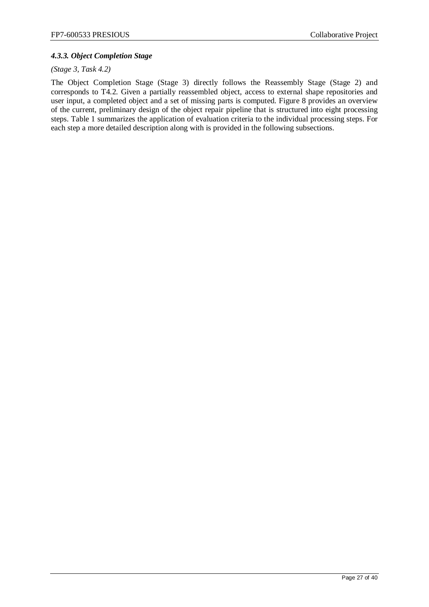# <span id="page-26-0"></span>*4.3.3. Object Completion Stage*

#### *(Stage 3, Task 4.2)*

The Object Completion Stage (Stage 3) directly follows the Reassembly Stage (Stage 2) and corresponds to T4.2. Given a partially reassembled object, access to external shape repositories and user input, a completed object and a set of missing parts is computed. [Figure 8](#page-27-0) provides an overview of the current, preliminary design of the object repair pipeline that is structured into eight processing steps. Table 1 summarizes the application of evaluation criteria to the individual processing steps. For each step a more detailed description along with is provided in the following subsections.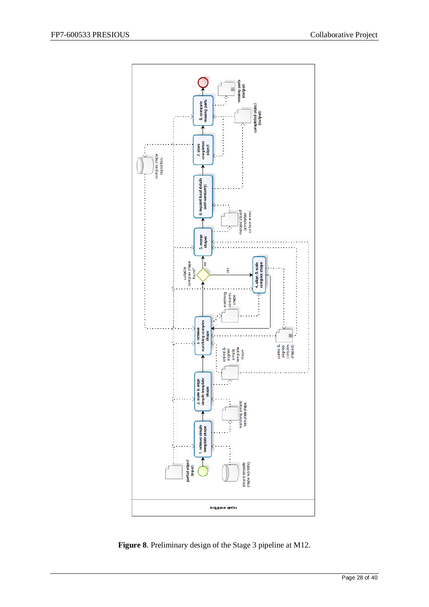

<span id="page-27-0"></span>**Figure 8**. Preliminary design of the Stage 3 pipeline at M12.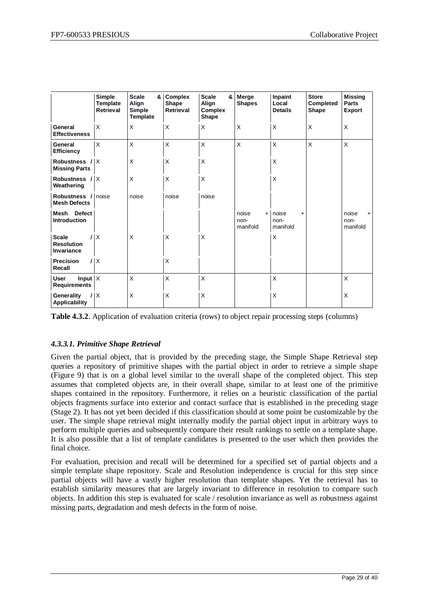|                                                             | Simple<br><b>Template</b><br><b>Retrieval</b> | <b>Scale</b><br>&<br>Align<br><b>Simple</b><br>Template | <b>Complex</b><br>Shape<br><b>Retrieval</b> | <b>Scale</b><br>&<br>Align<br><b>Complex</b><br>Shape | Merge<br><b>Shapes</b>           | Inpaint<br>Local<br><b>Details</b>     | <b>Store</b><br>Completed<br>Shape | <b>Missing</b><br><b>Parts</b><br><b>Export</b> |
|-------------------------------------------------------------|-----------------------------------------------|---------------------------------------------------------|---------------------------------------------|-------------------------------------------------------|----------------------------------|----------------------------------------|------------------------------------|-------------------------------------------------|
| General<br><b>Effectiveness</b>                             | X                                             | X                                                       | X                                           | X                                                     | X                                | X                                      | Χ                                  | $\times$                                        |
| General<br><b>Efficiency</b>                                | X                                             | $\times$                                                | X                                           | X                                                     | X                                | $\times$                               | X                                  | $\times$                                        |
| Robustness /<br><b>Missing Parts</b>                        | X                                             | $\times$                                                | X                                           | X                                                     |                                  | $\times$                               |                                    |                                                 |
| Robustness /<br>Weathering                                  | X                                             | $\times$                                                | X                                           | X                                                     |                                  | $\times$                               |                                    |                                                 |
| Robustness /<br><b>Mesh Defects</b>                         | noise                                         | noise                                                   | noise                                       | noise                                                 |                                  |                                        |                                    |                                                 |
| <b>Defect</b><br>Mesh<br><b>Introduction</b>                |                                               |                                                         |                                             |                                                       | noise<br>$+$<br>non-<br>manifold | noise<br>$\ddot{}$<br>non-<br>manifold |                                    | noise<br>$+$<br>non-<br>manifold                |
| <b>Scale</b><br>ı<br><b>Resolution</b><br><b>Invariance</b> | X                                             | $\times$                                                | X                                           | X                                                     |                                  | X                                      |                                    |                                                 |
| <b>Precision</b><br>Recall                                  | $\times$                                      |                                                         | X                                           |                                                       |                                  |                                        |                                    |                                                 |
| Input $X$<br>User<br><b>Requirements</b>                    |                                               | X                                                       | X                                           | X                                                     |                                  | X                                      |                                    | X                                               |
| Generality<br><b>Applicability</b>                          | $\sf X$                                       | X                                                       | X                                           | X                                                     |                                  | $\times$                               |                                    | X                                               |

**Table 4.3.2**. Application of evaluation criteria (rows) to object repair processing steps (columns)

# *4.3.3.1. Primitive Shape Retrieval*

Given the partial object, that is provided by the preceding stage, the Simple Shape Retrieval step queries a repository of primitive shapes with the partial object in order to retrieve a simple shape [\(Figure 9\)](#page-29-0) that is on a global level similar to the overall shape of the completed object. This step assumes that completed objects are, in their overall shape, similar to at least one of the primitive shapes contained in the repository. Furthermore, it relies on a heuristic classification of the partial objects fragments surface into exterior and contact surface that is established in the preceding stage (Stage 2). It has not yet been decided if this classification should at some point be customizable by the user. The simple shape retrieval might internally modify the partial object input in arbitrary ways to perform multiple queries and subsequently compare their result rankings to settle on a template shape. It is also possible that a list of template candidates is presented to the user which then provides the final choice.

For evaluation, precision and recall will be determined for a specified set of partial objects and a simple template shape repository. Scale and Resolution independence is crucial for this step since partial objects will have a vastly higher resolution than template shapes. Yet the retrieval has to establish similarity measures that are largely invariant to difference in resolution to compare such objects. In addition this step is evaluated for scale / resolution invariance as well as robustness against missing parts, degradation and mesh defects in the form of noise.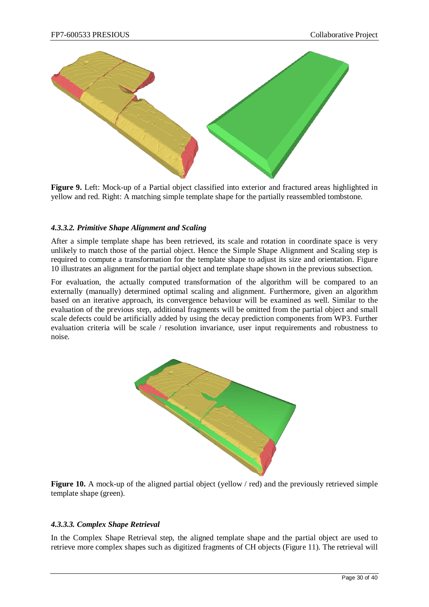

<span id="page-29-0"></span>**Figure 9.** Left: Mock-up of a Partial object classified into exterior and fractured areas highlighted in yellow and red. Right: A matching simple template shape for the partially reassembled tombstone.

# *4.3.3.2. Primitive Shape Alignment and Scaling*

After a simple template shape has been retrieved, its scale and rotation in coordinate space is very unlikely to match those of the partial object. Hence the Simple Shape Alignment and Scaling step is required to compute a transformation for the template shape to adjust its size and orientation. [Figure](#page-29-1)  [10](#page-29-1) illustrates an alignment for the partial object and template shape shown in the previous subsection.

For evaluation, the actually computed transformation of the algorithm will be compared to an externally (manually) determined optimal scaling and alignment. Furthermore, given an algorithm based on an iterative approach, its convergence behaviour will be examined as well. Similar to the evaluation of the previous step, additional fragments will be omitted from the partial object and small scale defects could be artificially added by using the decay prediction components from WP3. Further evaluation criteria will be scale / resolution invariance, user input requirements and robustness to noise.



<span id="page-29-1"></span>**Figure 10.** A mock-up of the aligned partial object (yellow / red) and the previously retrieved simple template shape (green).

#### *4.3.3.3. Complex Shape Retrieval*

In the Complex Shape Retrieval step, the aligned template shape and the partial object are used to retrieve more complex shapes such as digitized fragments of CH objects [\(Figure 11\)](#page-30-0). The retrieval will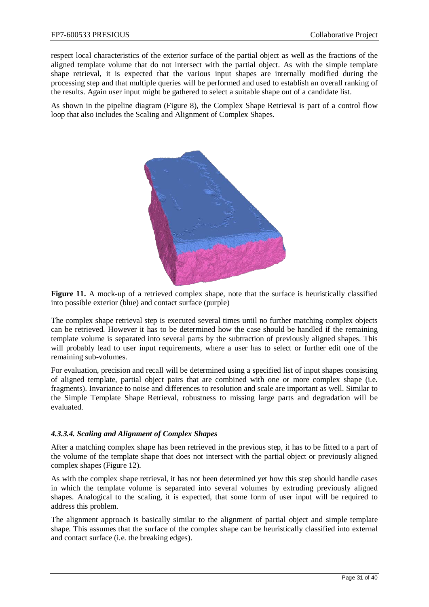respect local characteristics of the exterior surface of the partial object as well as the fractions of the aligned template volume that do not intersect with the partial object. As with the simple template shape retrieval, it is expected that the various input shapes are internally modified during the processing step and that multiple queries will be performed and used to establish an overall ranking of the results. Again user input might be gathered to select a suitable shape out of a candidate list.

As shown in the pipeline diagram [\(Figure 8\)](#page-27-0), the Complex Shape Retrieval is part of a control flow loop that also includes the Scaling and Alignment of Complex Shapes.



<span id="page-30-0"></span>**Figure 11.** A mock-up of a retrieved complex shape, note that the surface is heuristically classified into possible exterior (blue) and contact surface (purple)

The complex shape retrieval step is executed several times until no further matching complex objects can be retrieved. However it has to be determined how the case should be handled if the remaining template volume is separated into several parts by the subtraction of previously aligned shapes. This will probably lead to user input requirements, where a user has to select or further edit one of the remaining sub-volumes.

For evaluation, precision and recall will be determined using a specified list of input shapes consisting of aligned template, partial object pairs that are combined with one or more complex shape (i.e. fragments). Invariance to noise and differences to resolution and scale are important as well. Similar to the Simple Template Shape Retrieval, robustness to missing large parts and degradation will be evaluated.

# *4.3.3.4. Scaling and Alignment of Complex Shapes*

After a matching complex shape has been retrieved in the previous step, it has to be fitted to a part of the volume of the template shape that does not intersect with the partial object or previously aligned complex shapes [\(Figure 12\)](#page-31-0).

As with the complex shape retrieval, it has not been determined yet how this step should handle cases in which the template volume is separated into several volumes by extruding previously aligned shapes. Analogical to the scaling, it is expected, that some form of user input will be required to address this problem.

The alignment approach is basically similar to the alignment of partial object and simple template shape. This assumes that the surface of the complex shape can be heuristically classified into external and contact surface (i.e. the breaking edges).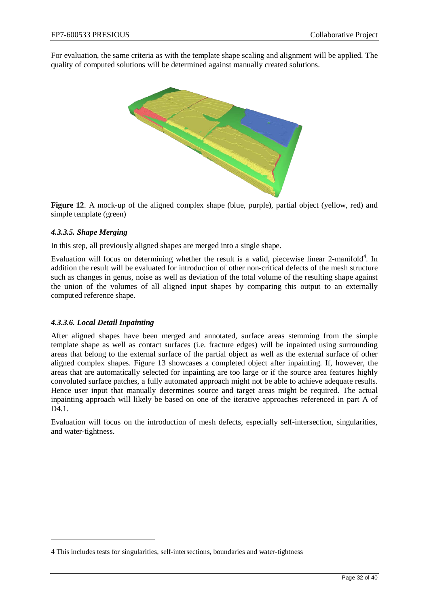For evaluation, the same criteria as with the template shape scaling and alignment will be applied. The quality of computed solutions will be determined against manually created solutions.



<span id="page-31-0"></span>**Figure 12**. A mock-up of the aligned complex shape (blue, purple), partial object (yellow, red) and simple template (green)

# *4.3.3.5. Shape Merging*

In this step, all previously aligned shapes are merged into a single shape.

Evaluation will focus on determining whether the result is a valid, piecewise linear 2-manifold<sup>[4](#page-31-1)</sup>. In addition the result will be evaluated for introduction of other non-critical defects of the mesh structure such as changes in genus, noise as well as deviation of the total volume of the resulting shape against the union of the volumes of all aligned input shapes by comparing this output to an externally computed reference shape.

#### *4.3.3.6. Local Detail Inpainting*

 $\overline{a}$ 

After aligned shapes have been merged and annotated, surface areas stemming from the simple template shape as well as contact surfaces (i.e. fracture edges) will be inpainted using surrounding areas that belong to the external surface of the partial object as well as the external surface of other aligned complex shapes. [Figure 13](#page-32-0) showcases a completed object after inpainting. If, however, the areas that are automatically selected for inpainting are too large or if the source area features highly convoluted surface patches, a fully automated approach might not be able to achieve adequate results. Hence user input that manually determines source and target areas might be required. The actual inpainting approach will likely be based on one of the iterative approaches referenced in part A of D<sub>4.1</sub>.

Evaluation will focus on the introduction of mesh defects, especially self-intersection, singularities, and water-tightness.

<span id="page-31-1"></span><sup>4</sup> This includes tests for singularities, self-intersections, boundaries and water-tightness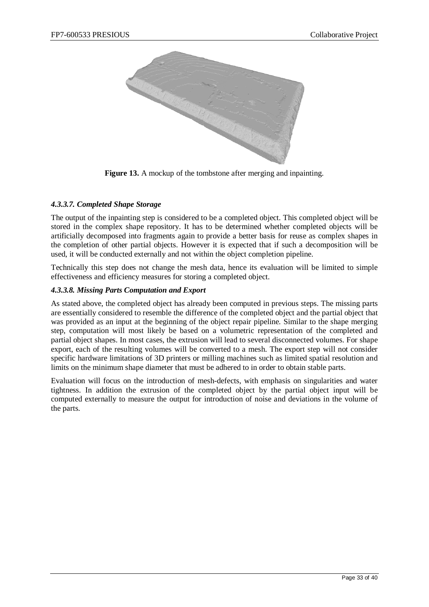

**Figure 13.** A mockup of the tombstone after merging and inpainting.

# <span id="page-32-0"></span>*4.3.3.7. Completed Shape Storage*

The output of the inpainting step is considered to be a completed object. This completed object will be stored in the complex shape repository. It has to be determined whether completed objects will be artificially decomposed into fragments again to provide a better basis for reuse as complex shapes in the completion of other partial objects. However it is expected that if such a decomposition will be used, it will be conducted externally and not within the object completion pipeline.

Technically this step does not change the mesh data, hence its evaluation will be limited to simple effectiveness and efficiency measures for storing a completed object.

# *4.3.3.8. Missing Parts Computation and Export*

As stated above, the completed object has already been computed in previous steps. The missing parts are essentially considered to resemble the difference of the completed object and the partial object that was provided as an input at the beginning of the object repair pipeline. Similar to the shape merging step, computation will most likely be based on a volumetric representation of the completed and partial object shapes. In most cases, the extrusion will lead to several disconnected volumes. For shape export, each of the resulting volumes will be converted to a mesh. The export step will not consider specific hardware limitations of 3D printers or milling machines such as limited spatial resolution and limits on the minimum shape diameter that must be adhered to in order to obtain stable parts.

Evaluation will focus on the introduction of mesh-defects, with emphasis on singularities and water tightness. In addition the extrusion of the completed object by the partial object input will be computed externally to measure the output for introduction of noise and deviations in the volume of the parts.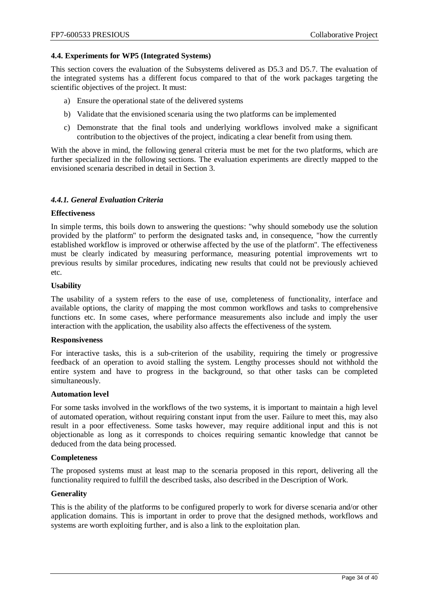#### <span id="page-33-0"></span>**4.4. Experiments for WP5 (Integrated Systems)**

This section covers the evaluation of the Subsystems delivered as D5.3 and D5.7. The evaluation of the integrated systems has a different focus compared to that of the work packages targeting the scientific objectives of the project. It must:

- a) Ensure the operational state of the delivered systems
- b) Validate that the envisioned scenaria using the two platforms can be implemented
- c) Demonstrate that the final tools and underlying workflows involved make a significant contribution to the objectives of the project, indicating a clear benefit from using them.

With the above in mind, the following general criteria must be met for the two platforms, which are further specialized in the following sections. The evaluation experiments are directly mapped to the envisioned scenaria described in detail in Section [3.](#page-6-0)

#### <span id="page-33-1"></span>*4.4.1. General Evaluation Criteria*

#### **Effectiveness**

In simple terms, this boils down to answering the questions: "why should somebody use the solution provided by the platform" to perform the designated tasks and, in consequence, "how the currently established workflow is improved or otherwise affected by the use of the platform". The effectiveness must be clearly indicated by measuring performance, measuring potential improvements wrt to previous results by similar procedures, indicating new results that could not be previously achieved etc.

#### **Usability**

The usability of a system refers to the ease of use, completeness of functionality, interface and available options, the clarity of mapping the most common workflows and tasks to comprehensive functions etc. In some cases, where performance measurements also include and imply the user interaction with the application, the usability also affects the effectiveness of the system.

#### **Responsiveness**

For interactive tasks, this is a sub-criterion of the usability, requiring the timely or progressive feedback of an operation to avoid stalling the system. Lengthy processes should not withhold the entire system and have to progress in the background, so that other tasks can be completed simultaneously.

#### **Automation level**

For some tasks involved in the workflows of the two systems, it is important to maintain a high level of automated operation, without requiring constant input from the user. Failure to meet this, may also result in a poor effectiveness. Some tasks however, may require additional input and this is not objectionable as long as it corresponds to choices requiring semantic knowledge that cannot be deduced from the data being processed.

#### **Completeness**

The proposed systems must at least map to the scenaria proposed in this report, delivering all the functionality required to fulfill the described tasks, also described in the Description of Work.

#### **Generality**

This is the ability of the platforms to be configured properly to work for diverse scenaria and/or other application domains. This is important in order to prove that the designed methods, workflows and systems are worth exploiting further, and is also a link to the exploitation plan.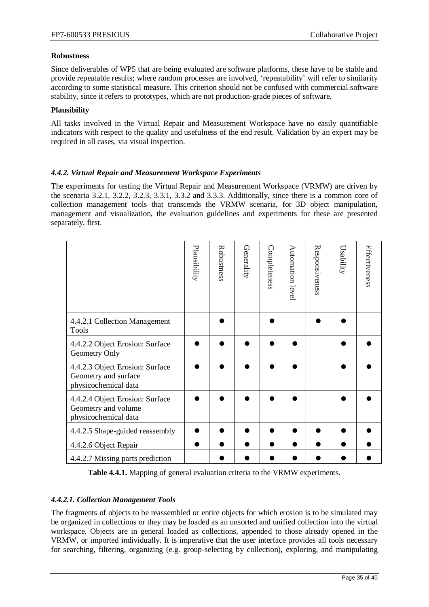# **Robustness**

Since deliverables of WP5 that are being evaluated are software platforms, these have to be stable and provide repeatable results; where random processes are involved, 'repeatability' will refer to similarity according to some statistical measure. This criterion should not be confused with commercial software stability, since it refers to prototypes, which are not production-grade pieces of software.

# **Plausibility**

All tasks involved in the Virtual Repair and Measurement Workspace have no easily quantifiable indicators with respect to the quality and usefulness of the end result. Validation by an expert may be required in all cases, via visual inspection.

# <span id="page-34-0"></span>*4.4.2. Virtual Repair and Measurement Workspace Experiments*

The experiments for testing the Virtual Repair and Measurement Workspace (VRMW) are driven by the scenaria [3.2.1,](#page-8-0) [3.2.2,](#page-8-1) [3.2.3,](#page-8-2) [3.3.1,](#page-9-0) [3.3.2](#page-10-0) and [3.3.3.](#page-12-0) Additionally, since there is a common core of collection management tools that transcends the VRMW scenaria, for 3D object manipulation, management and visualization, the evaluation guidelines and experiments for these are presented separately, first.

|                                                                                 | Plausibility | Robustness | Generality | Completeness | Automation level | Responsiveness | Usability | Effectiveness |
|---------------------------------------------------------------------------------|--------------|------------|------------|--------------|------------------|----------------|-----------|---------------|
| 4.4.2.1 Collection Management<br><b>Tools</b>                                   |              |            |            |              |                  |                |           |               |
| 4.4.2.2 Object Erosion: Surface<br>Geometry Only                                |              |            |            |              |                  |                |           |               |
| 4.4.2.3 Object Erosion: Surface<br>Geometry and surface<br>physicochemical data |              |            |            |              |                  |                |           |               |
| 4.4.2.4 Object Erosion: Surface<br>Geometry and volume<br>physicochemical data  |              |            |            |              |                  |                |           |               |
| 4.4.2.5 Shape-guided reassembly                                                 |              |            |            |              |                  |                |           |               |
| 4.4.2.6 Object Repair                                                           |              |            |            |              |                  |                |           |               |
| 4.4.2.7 Missing parts prediction                                                |              |            |            |              |                  |                |           |               |

**Table 4.4.1.** Mapping of general evaluation criteria to the VRMW experiments.

#### <span id="page-34-1"></span>*4.4.2.1. Collection Management Tools*

The fragments of objects to be reassembled or entire objects for which erosion is to be simulated may be organized in collections or they may be loaded as an unsorted and unified collection into the virtual workspace. Objects are in general loaded as collections, appended to those already opened in the VRMW, or imported individually. It is imperative that the user interface provides all tools necessary for searching, filtering, organizing (e.g. group-selecting by collection), exploring, and manipulating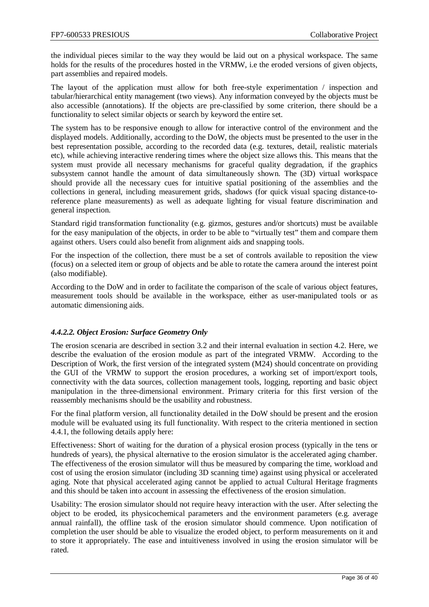the individual pieces similar to the way they would be laid out on a physical workspace. The same holds for the results of the procedures hosted in the VRMW, i.e the eroded versions of given objects, part assemblies and repaired models.

The layout of the application must allow for both free-style experimentation / inspection and tabular/hierarchical entity management (two views). Any information conveyed by the objects must be also accessible (annotations). If the objects are pre-classified by some criterion, there should be a functionality to select similar objects or search by keyword the entire set.

The system has to be responsive enough to allow for interactive control of the environment and the displayed models. Additionally, according to the DoW, the objects must be presented to the user in the best representation possible, according to the recorded data (e.g. textures, detail, realistic materials etc), while achieving interactive rendering times where the object size allows this. This means that the system must provide all necessary mechanisms for graceful quality degradation, if the graphics subsystem cannot handle the amount of data simultaneously shown. The (3D) virtual workspace should provide all the necessary cues for intuitive spatial positioning of the assemblies and the collections in general, including measurement grids, shadows (for quick visual spacing distance-toreference plane measurements) as well as adequate lighting for visual feature discrimination and general inspection.

Standard rigid transformation functionality (e.g. gizmos, gestures and/or shortcuts) must be available for the easy manipulation of the objects, in order to be able to "virtually test" them and compare them against others. Users could also benefit from alignment aids and snapping tools.

For the inspection of the collection, there must be a set of controls available to reposition the view (focus) on a selected item or group of objects and be able to rotate the camera around the interest point (also modifiable).

According to the DoW and in order to facilitate the comparison of the scale of various object features, measurement tools should be available in the workspace, either as user-manipulated tools or as automatic dimensioning aids.

#### <span id="page-35-0"></span>*4.4.2.2. Object Erosion: Surface Geometry Only*

The erosion scenaria are described in section 3.2 and their internal evaluation in section 4.2. Here, we describe the evaluation of the erosion module as part of the integrated VRMW. According to the Description of Work, the first version of the integrated system (M24) should concentrate on providing the GUI of the VRMW to support the erosion procedures, a working set of import/export tools, connectivity with the data sources, collection management tools, logging, reporting and basic object manipulation in the three-dimensional environment. Primary criteria for this first version of the reassembly mechanisms should be the usability and robustness.

For the final platform version, all functionality detailed in the DoW should be present and the erosion module will be evaluated using its full functionality. With respect to the criteria mentioned in section [4.4.1,](#page-33-1) the following details apply here:

Effectiveness: Short of waiting for the duration of a physical erosion process (typically in the tens or hundreds of years), the physical alternative to the erosion simulator is the accelerated aging chamber. The effectiveness of the erosion simulator will thus be measured by comparing the time, workload and cost of using the erosion simulator (including 3D scanning time) against using physical or accelerated aging. Note that physical accelerated aging cannot be applied to actual Cultural Heritage fragments and this should be taken into account in assessing the effectiveness of the erosion simulation.

Usability: The erosion simulator should not require heavy interaction with the user. After selecting the object to be eroded, its physicochemical parameters and the environment parameters (e.g. average annual rainfall), the offline task of the erosion simulator should commence. Upon notification of completion the user should be able to visualize the eroded object, to perform measurements on it and to store it appropriately. The ease and intuitiveness involved in using the erosion simulator will be rated.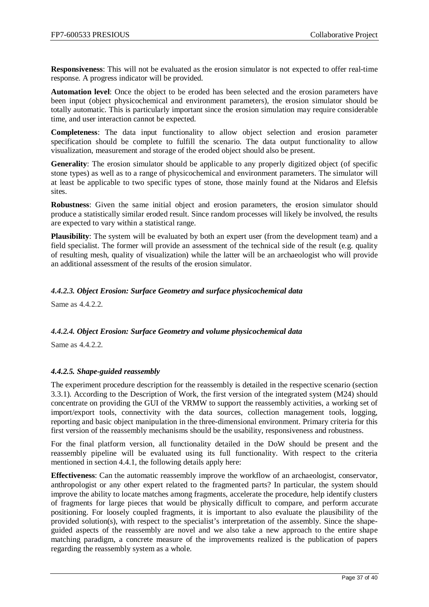**Responsiveness**: This will not be evaluated as the erosion simulator is not expected to offer real-time response. A progress indicator will be provided.

**Automation level**: Once the object to be eroded has been selected and the erosion parameters have been input (object physicochemical and environment parameters), the erosion simulator should be totally automatic. This is particularly important since the erosion simulation may require considerable time, and user interaction cannot be expected.

**Completeness**: The data input functionality to allow object selection and erosion parameter specification should be complete to fulfill the scenario. The data output functionality to allow visualization, measurement and storage of the eroded object should also be present.

**Generality**: The erosion simulator should be applicable to any properly digitized object (of specific stone types) as well as to a range of physicochemical and environment parameters. The simulator will at least be applicable to two specific types of stone, those mainly found at the Nidaros and Elefsis sites.

**Robustness**: Given the same initial object and erosion parameters, the erosion simulator should produce a statistically similar eroded result. Since random processes will likely be involved, the results are expected to vary within a statistical range.

**Plausibility**: The system will be evaluated by both an expert user (from the development team) and a field specialist. The former will provide an assessment of the technical side of the result (e.g. quality of resulting mesh, quality of visualization) while the latter will be an archaeologist who will provide an additional assessment of the results of the erosion simulator.

# <span id="page-36-0"></span>*4.4.2.3. Object Erosion: Surface Geometry and surface physicochemical data*

Same as 4.4.2.2.

#### <span id="page-36-1"></span>*4.4.2.4. Object Erosion: Surface Geometry and volume physicochemical data*

Same as  $4.4.2.2.2$ 

#### <span id="page-36-2"></span>*4.4.2.5. Shape-guided reassembly*

The experiment procedure description for the reassembly is detailed in the respective scenario (section [3.3.1\)](#page-9-0). According to the Description of Work, the first version of the integrated system (M24) should concentrate on providing the GUI of the VRMW to support the reassembly activities, a working set of import/export tools, connectivity with the data sources, collection management tools, logging, reporting and basic object manipulation in the three-dimensional environment. Primary criteria for this first version of the reassembly mechanisms should be the usability, responsiveness and robustness.

For the final platform version, all functionality detailed in the DoW should be present and the reassembly pipeline will be evaluated using its full functionality. With respect to the criteria mentioned in section [4.4.1,](#page-33-1) the following details apply here:

**Effectiveness**: Can the automatic reassembly improve the workflow of an archaeologist, conservator, anthropologist or any other expert related to the fragmented parts? In particular, the system should improve the ability to locate matches among fragments, accelerate the procedure, help identify clusters of fragments for large pieces that would be physically difficult to compare, and perform accurate positioning. For loosely coupled fragments, it is important to also evaluate the plausibility of the provided solution(s), with respect to the specialist's interpretation of the assembly. Since the shapeguided aspects of the reassembly are novel and we also take a new approach to the entire shape matching paradigm, a concrete measure of the improvements realized is the publication of papers regarding the reassembly system as a whole.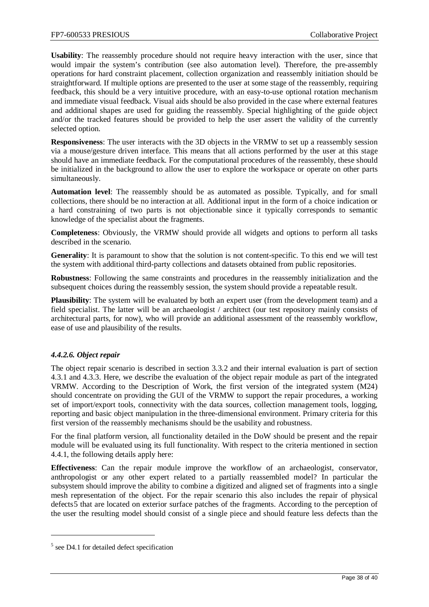**Usability**: The reassembly procedure should not require heavy interaction with the user, since that would impair the system's contribution (see also automation level). Therefore, the pre-assembly operations for hard constraint placement, collection organization and reassembly initiation should be straightforward. If multiple options are presented to the user at some stage of the reassembly, requiring feedback, this should be a very intuitive procedure, with an easy-to-use optional rotation mechanism and immediate visual feedback. Visual aids should be also provided in the case where external features and additional shapes are used for guiding the reassembly. Special highlighting of the guide object and/or the tracked features should be provided to help the user assert the validity of the currently selected option.

**Responsiveness**: The user interacts with the 3D objects in the VRMW to set up a reassembly session via a mouse/gesture driven interface. This means that all actions performed by the user at this stage should have an immediate feedback. For the computational procedures of the reassembly, these should be initialized in the background to allow the user to explore the workspace or operate on other parts simultaneously.

**Automation level**: The reassembly should be as automated as possible. Typically, and for small collections, there should be no interaction at all. Additional input in the form of a choice indication or a hard constraining of two parts is not objectionable since it typically corresponds to semantic knowledge of the specialist about the fragments.

**Completeness**: Obviously, the VRMW should provide all widgets and options to perform all tasks described in the scenario.

**Generality**: It is paramount to show that the solution is not content-specific. To this end we will test the system with additional third-party collections and datasets obtained from public repositories.

**Robustness**: Following the same constraints and procedures in the reassembly initialization and the subsequent choices during the reassembly session, the system should provide a repeatable result.

**Plausibility**: The system will be evaluated by both an expert user (from the development team) and a field specialist. The latter will be an archaeologist / architect (our test repository mainly consists of architectural parts, for now), who will provide an additional assessment of the reassembly workflow, ease of use and plausibility of the results.

# <span id="page-37-0"></span>*4.4.2.6. Object repair*

The object repair scenario is described in section 3.3.2 and their internal evaluation is part of section 4.3.1 and 4.3.3. Here, we describe the evaluation of the object repair module as part of the integrated VRMW. According to the Description of Work, the first version of the integrated system (M24) should concentrate on providing the GUI of the VRMW to support the repair procedures, a working set of import/export tools, connectivity with the data sources, collection management tools, logging, reporting and basic object manipulation in the three-dimensional environment. Primary criteria for this first version of the reassembly mechanisms should be the usability and robustness.

For the final platform version, all functionality detailed in the DoW should be present and the repair module will be evaluated using its full functionality. With respect to the criteria mentioned in section [4.4.1,](#page-33-1) the following details apply here:

**Effectiveness**: Can the repair module improve the workflow of an archaeologist, conservator, anthropologist or any other expert related to a partially reassembled model? In particular the subsystem should improve the ability to combine a digitized and aligned set of fragments into a single mesh representation of the object. For the repair scenario this also includes the repair of physical defects[5](#page-37-1) that are located on exterior surface patches of the fragments. According to the perception of the user the resulting model should consist of a single piece and should feature less defects than the

 $\overline{a}$ 

<span id="page-37-1"></span> $<sup>5</sup>$  see D4.1 for detailed defect specification</sup>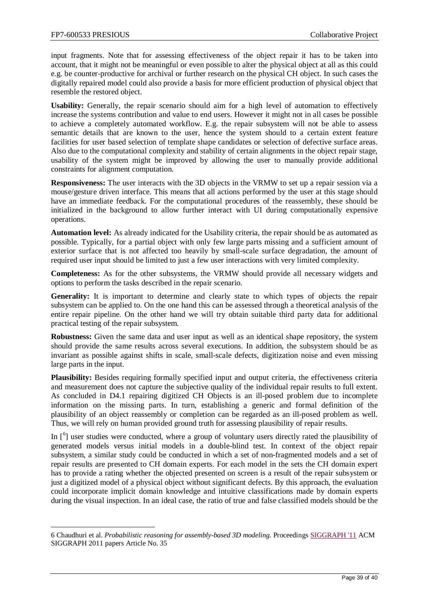input fragments. Note that for assessing effectiveness of the object repair it has to be taken into account, that it might not be meaningful or even possible to alter the physical object at all as this could e.g. be counter-productive for archival or further research on the physical CH object. In such cases the digitally repaired model could also provide a basis for more efficient production of physical object that resemble the restored object.

**Usability:** Generally, the repair scenario should aim for a high level of automation to effectively increase the systems contribution and value to end users. However it might not in all cases be possible to achieve a completely automated workflow. E.g. the repair subsystem will not be able to assess semantic details that are known to the user, hence the system should to a certain extent feature facilities for user based selection of template shape candidates or selection of defective surface areas. Also due to the computational complexity and stability of certain alignments in the object repair stage, usability of the system might be improved by allowing the user to manually provide additional constraints for alignment computation.

**Responsiveness:** The user interacts with the 3D objects in the VRMW to set up a repair session via a mouse/gesture driven interface. This means that all actions performed by the user at this stage should have an immediate feedback. For the computational procedures of the reassembly, these should be initialized in the background to allow further interact with UI during computationally expensive operations.

**Automation level:** As already indicated for the Usability criteria, the repair should be as automated as possible. Typically, for a partial object with only few large parts missing and a sufficient amount of exterior surface that is not affected too heavily by small-scale surface degradation, the amount of required user input should be limited to just a few user interactions with very limited complexity.

**Completeness:** As for the other subsystems, the VRMW should provide all necessary widgets and options to perform the tasks described in the repair scenario.

**Generality:** It is important to determine and clearly state to which types of objects the repair subsystem can be applied to. On the one hand this can be assessed through a theoretical analysis of the entire repair pipeline. On the other hand we will try obtain suitable third party data for additional practical testing of the repair subsystem.

**Robustness:** Given the same data and user input as well as an identical shape repository, the system should provide the same results across several executions. In addition, the subsystem should be as invariant as possible against shifts in scale, small-scale defects, digitization noise and even missing large parts in the input.

**Plausibility:** Besides requiring formally specified input and output criteria, the effectiveness criteria and measurement does not capture the subjective quality of the individual repair results to full extent. As concluded in D4.1 repairing digitized CH Objects is an ill-posed problem due to incomplete information on the missing parts. In turn, establishing a generic and formal definition of the plausibility of an object reassembly or completion can be regarded as an ill-posed problem as well. Thus, we will rely on human provided ground truth for assessing plausibility of repair results.

In  $[6]$  $[6]$  $[6]$  user studies were conducted, where a group of voluntary users directly rated the plausibility of generated models versus initial models in a double-blind test. In context of the object repair subsystem, a similar study could be conducted in which a set of non-fragmented models and a set of repair results are presented to CH domain experts. For each model in the sets the CH domain expert has to provide a rating whether the objected presented on screen is a result of the repair subsystem or just a digitized model of a physical object without significant defects. By this approach, the evaluation could incorporate implicit domain knowledge and intuitive classifications made by domain experts during the visual inspection. In an ideal case, the ratio of true and false classified models should be the

<span id="page-38-0"></span> $\ddot{\phantom{a}}$ 6 Chaudhuri et al. *Probabilistic reasoning for assembly-based 3D modeling*. Proceedings [SIGGRAPH '11](http://www.siggraph.org/s2011/) ACM SIGGRAPH 2011 papers Article No. 35